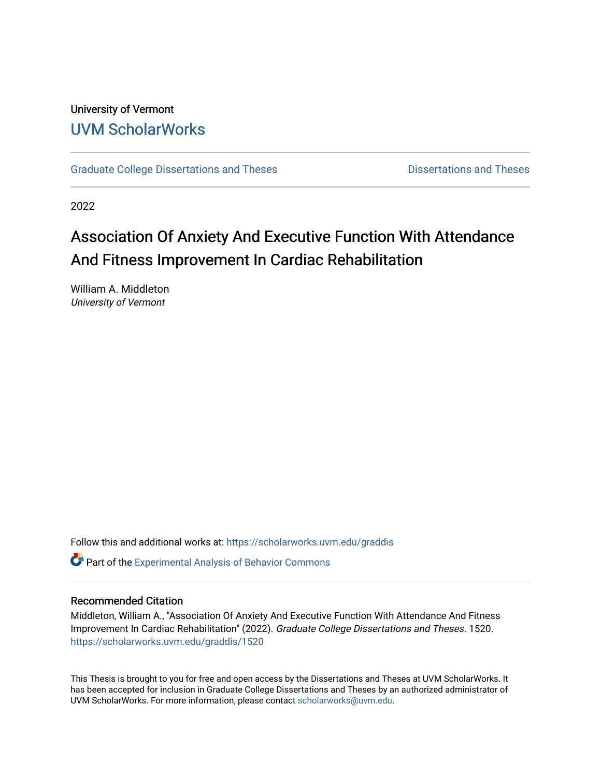## University of Vermont [UVM ScholarWorks](https://scholarworks.uvm.edu/)

[Graduate College Dissertations and Theses](https://scholarworks.uvm.edu/graddis) **Dissertations and Theses** Dissertations and Theses

2022

# Association Of Anxiety And Executive Function With Attendance And Fitness Improvement In Cardiac Rehabilitation

William A. Middleton University of Vermont

Follow this and additional works at: [https://scholarworks.uvm.edu/graddis](https://scholarworks.uvm.edu/graddis?utm_source=scholarworks.uvm.edu%2Fgraddis%2F1520&utm_medium=PDF&utm_campaign=PDFCoverPages)

**C** Part of the Experimental Analysis of Behavior Commons

## Recommended Citation

Middleton, William A., "Association Of Anxiety And Executive Function With Attendance And Fitness Improvement In Cardiac Rehabilitation" (2022). Graduate College Dissertations and Theses. 1520. [https://scholarworks.uvm.edu/graddis/1520](https://scholarworks.uvm.edu/graddis/1520?utm_source=scholarworks.uvm.edu%2Fgraddis%2F1520&utm_medium=PDF&utm_campaign=PDFCoverPages) 

This Thesis is brought to you for free and open access by the Dissertations and Theses at UVM ScholarWorks. It has been accepted for inclusion in Graduate College Dissertations and Theses by an authorized administrator of UVM ScholarWorks. For more information, please contact [scholarworks@uvm.edu.](mailto:scholarworks@uvm.edu)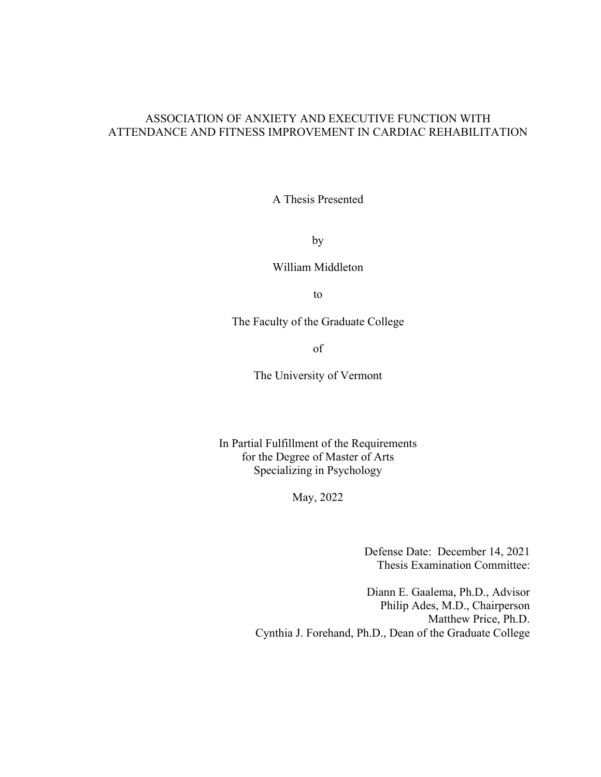## ASSOCIATION OF ANXIETY AND EXECUTIVE FUNCTION WITH ATTENDANCE AND FITNESS IMPROVEMENT IN CARDIAC REHABILITATION

A Thesis Presented

by

William Middleton

to

The Faculty of the Graduate College

of

The University of Vermont

In Partial Fulfillment of the Requirements for the Degree of Master of Arts Specializing in Psychology

May, 2022

Defense Date: December 14, 2021 Thesis Examination Committee:

Diann E. Gaalema, Ph.D., Advisor Philip Ades, M.D., Chairperson Matthew Price, Ph.D. Cynthia J. Forehand, Ph.D., Dean of the Graduate College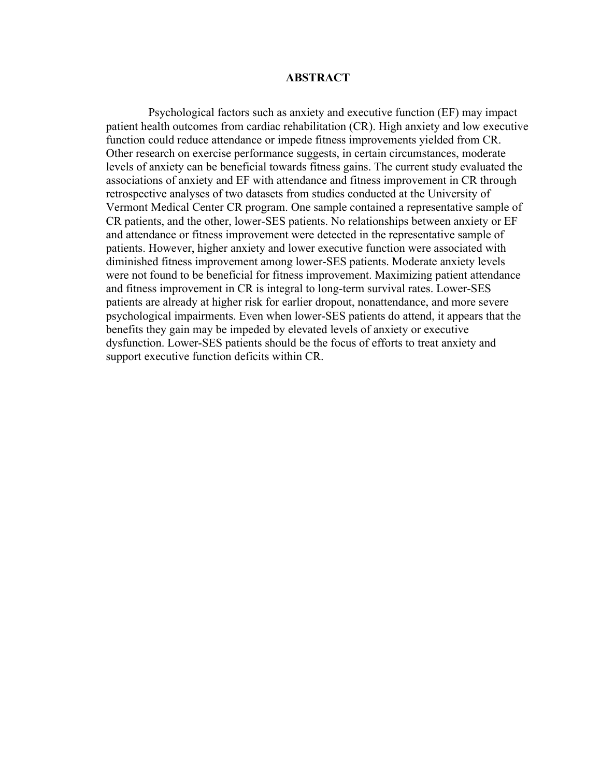#### **ABSTRACT**

Psychological factors such as anxiety and executive function (EF) may impact patient health outcomes from cardiac rehabilitation (CR). High anxiety and low executive function could reduce attendance or impede fitness improvements yielded from CR. Other research on exercise performance suggests, in certain circumstances, moderate levels of anxiety can be beneficial towards fitness gains. The current study evaluated the associations of anxiety and EF with attendance and fitness improvement in CR through retrospective analyses of two datasets from studies conducted at the University of Vermont Medical Center CR program. One sample contained a representative sample of CR patients, and the other, lower-SES patients. No relationships between anxiety or EF and attendance or fitness improvement were detected in the representative sample of patients. However, higher anxiety and lower executive function were associated with diminished fitness improvement among lower-SES patients. Moderate anxiety levels were not found to be beneficial for fitness improvement. Maximizing patient attendance and fitness improvement in CR is integral to long-term survival rates. Lower-SES patients are already at higher risk for earlier dropout, nonattendance, and more severe psychological impairments. Even when lower-SES patients do attend, it appears that the benefits they gain may be impeded by elevated levels of anxiety or executive dysfunction. Lower-SES patients should be the focus of efforts to treat anxiety and support executive function deficits within CR.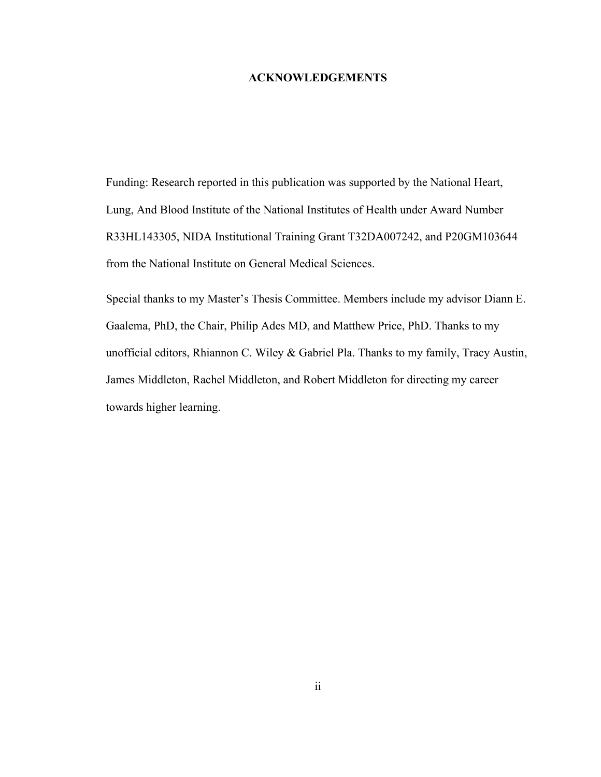#### **ACKNOWLEDGEMENTS**

<span id="page-3-0"></span>Funding: Research reported in this publication was supported by the National Heart, Lung, And Blood Institute of the National Institutes of Health under Award Number R33HL143305, NIDA Institutional Training Grant T32DA007242, and P20GM103644 from the National Institute on General Medical Sciences.

Special thanks to my Master's Thesis Committee. Members include my advisor Diann E. Gaalema, PhD, the Chair, Philip Ades MD, and Matthew Price, PhD. Thanks to my unofficial editors, Rhiannon C. Wiley & Gabriel Pla. Thanks to my family, Tracy Austin, James Middleton, Rachel Middleton, and Robert Middleton for directing my career towards higher learning.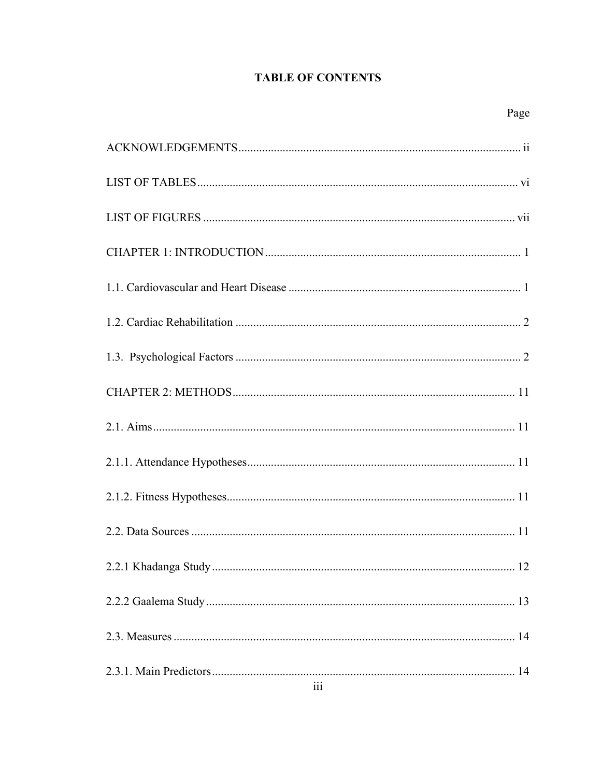## **TABLE OF CONTENTS**

| 111 |
|-----|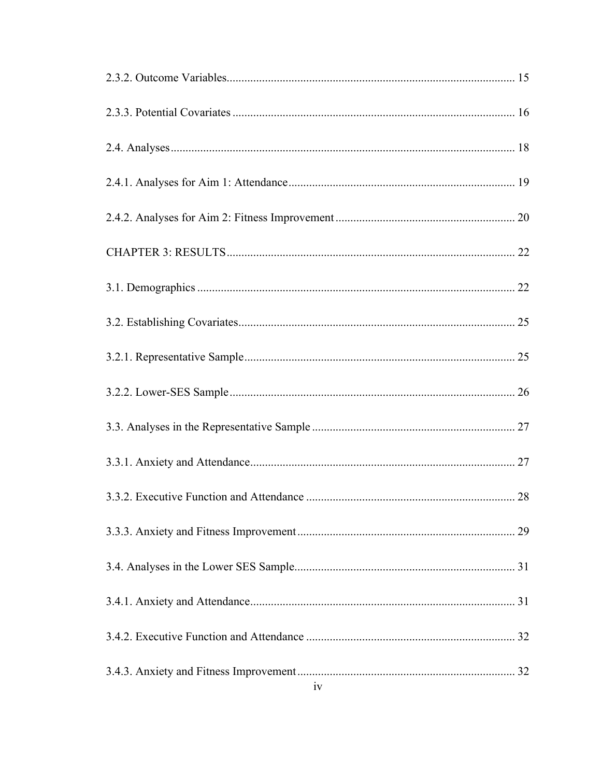| iv |
|----|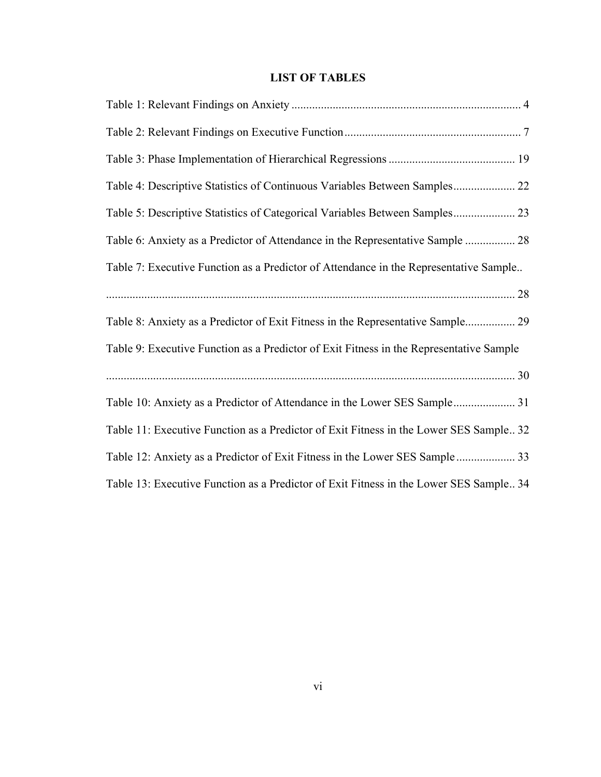## **LIST OF TABLES**

<span id="page-7-0"></span>

| Table 4: Descriptive Statistics of Continuous Variables Between Samples 22              |
|-----------------------------------------------------------------------------------------|
| Table 5: Descriptive Statistics of Categorical Variables Between Samples 23             |
| Table 6: Anxiety as a Predictor of Attendance in the Representative Sample  28          |
| Table 7: Executive Function as a Predictor of Attendance in the Representative Sample   |
|                                                                                         |
| Table 8: Anxiety as a Predictor of Exit Fitness in the Representative Sample 29         |
| Table 9: Executive Function as a Predictor of Exit Fitness in the Representative Sample |
|                                                                                         |
| Table 10: Anxiety as a Predictor of Attendance in the Lower SES Sample 31               |
| Table 11: Executive Function as a Predictor of Exit Fitness in the Lower SES Sample 32  |
| Table 12: Anxiety as a Predictor of Exit Fitness in the Lower SES Sample  33            |
| Table 13: Executive Function as a Predictor of Exit Fitness in the Lower SES Sample 34  |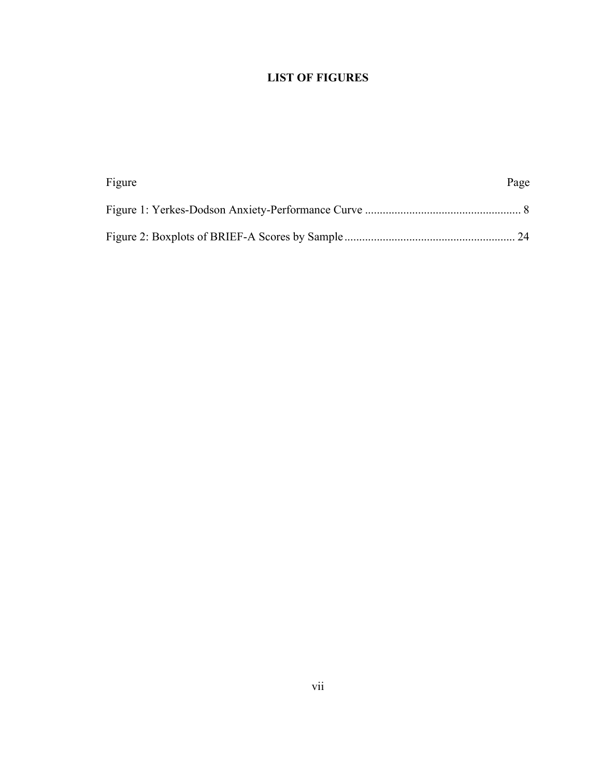## **LIST OF FIGURES**

<span id="page-8-0"></span>

| Figure | Page |
|--------|------|
|        |      |
|        |      |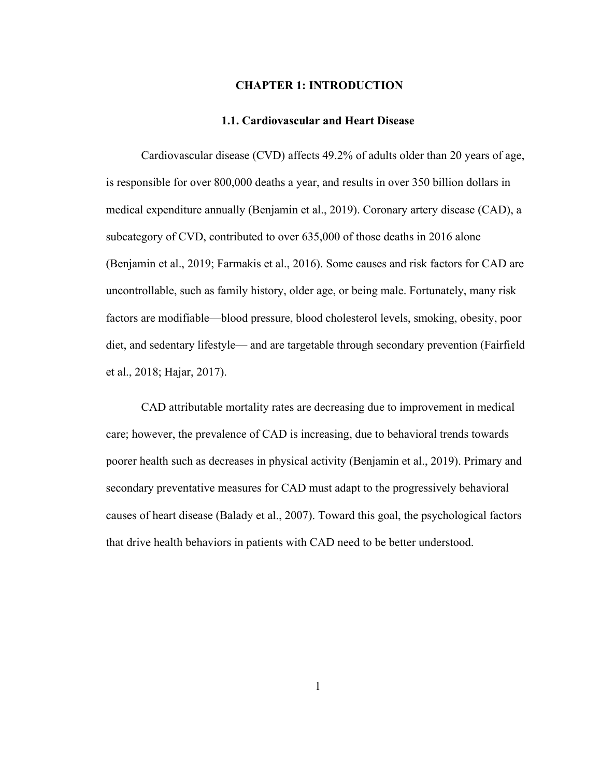## <span id="page-9-0"></span>**CHAPTER 1: INTRODUCTION**

#### **1.1. Cardiovascular and Heart Disease**

<span id="page-9-1"></span>Cardiovascular disease (CVD) affects 49.2% of adults older than 20 years of age, is responsible for over 800,000 deaths a year, and results in over 350 billion dollars in medical expenditure annually (Benjamin et al., 2019). Coronary artery disease (CAD), a subcategory of CVD, contributed to over 635,000 of those deaths in 2016 alone (Benjamin et al., 2019; Farmakis et al., 2016). Some causes and risk factors for CAD are uncontrollable, such as family history, older age, or being male. Fortunately, many risk factors are modifiable—blood pressure, blood cholesterol levels, smoking, obesity, poor diet, and sedentary lifestyle— and are targetable through secondary prevention (Fairfield et al., 2018; Hajar, 2017).

CAD attributable mortality rates are decreasing due to improvement in medical care; however, the prevalence of CAD is increasing, due to behavioral trends towards poorer health such as decreases in physical activity (Benjamin et al., 2019). Primary and secondary preventative measures for CAD must adapt to the progressively behavioral causes of heart disease (Balady et al., 2007). Toward this goal, the psychological factors that drive health behaviors in patients with CAD need to be better understood.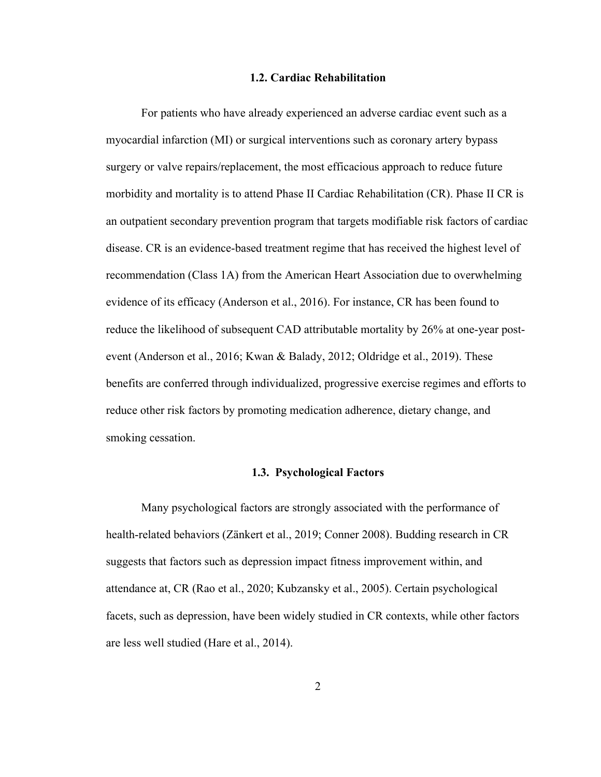#### **1.2. Cardiac Rehabilitation**

<span id="page-10-0"></span>For patients who have already experienced an adverse cardiac event such as a myocardial infarction (MI) or surgical interventions such as coronary artery bypass surgery or valve repairs/replacement, the most efficacious approach to reduce future morbidity and mortality is to attend Phase II Cardiac Rehabilitation (CR). Phase II CR is an outpatient secondary prevention program that targets modifiable risk factors of cardiac disease. CR is an evidence-based treatment regime that has received the highest level of recommendation (Class 1A) from the American Heart Association due to overwhelming evidence of its efficacy (Anderson et al., 2016). For instance, CR has been found to reduce the likelihood of subsequent CAD attributable mortality by 26% at one-year postevent (Anderson et al., 2016; Kwan & Balady, 2012; Oldridge et al., 2019). These benefits are conferred through individualized, progressive exercise regimes and efforts to reduce other risk factors by promoting medication adherence, dietary change, and smoking cessation.

#### **1.3. Psychological Factors**

<span id="page-10-1"></span>Many psychological factors are strongly associated with the performance of health-related behaviors (Zänkert et al., 2019; Conner 2008). Budding research in CR suggests that factors such as depression impact fitness improvement within, and attendance at, CR (Rao et al., 2020; Kubzansky et al., 2005). Certain psychological facets, such as depression, have been widely studied in CR contexts, while other factors are less well studied (Hare et al., 2014).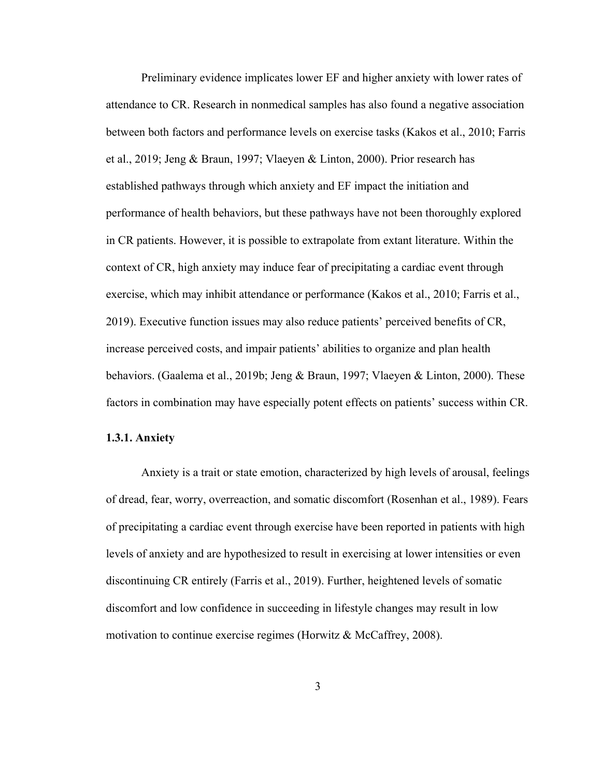Preliminary evidence implicates lower EF and higher anxiety with lower rates of attendance to CR. Research in nonmedical samples has also found a negative association between both factors and performance levels on exercise tasks (Kakos et al., 2010; Farris et al., 2019; Jeng & Braun, 1997; Vlaeyen & Linton, 2000). Prior research has established pathways through which anxiety and EF impact the initiation and performance of health behaviors, but these pathways have not been thoroughly explored in CR patients. However, it is possible to extrapolate from extant literature. Within the context of CR, high anxiety may induce fear of precipitating a cardiac event through exercise, which may inhibit attendance or performance (Kakos et al., 2010; Farris et al., 2019). Executive function issues may also reduce patients' perceived benefits of CR, increase perceived costs, and impair patients' abilities to organize and plan health behaviors. (Gaalema et al., 2019b; Jeng & Braun, 1997; Vlaeyen & Linton, 2000). These factors in combination may have especially potent effects on patients' success within CR.

#### **1.3.1. Anxiety**

Anxiety is a trait or state emotion, characterized by high levels of arousal, feelings of dread, fear, worry, overreaction, and somatic discomfort (Rosenhan et al., 1989). Fears of precipitating a cardiac event through exercise have been reported in patients with high levels of anxiety and are hypothesized to result in exercising at lower intensities or even discontinuing CR entirely (Farris et al., 2019). Further, heightened levels of somatic discomfort and low confidence in succeeding in lifestyle changes may result in low motivation to continue exercise regimes (Horwitz  $\&$  McCaffrey, 2008).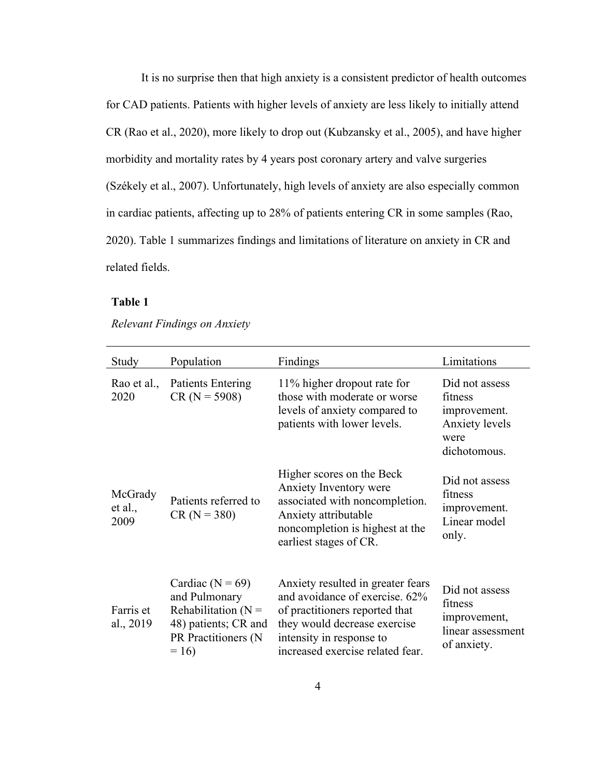It is no surprise then that high anxiety is a consistent predictor of health outcomes for CAD patients. Patients with higher levels of anxiety are less likely to initially attend CR (Rao et al., 2020), more likely to drop out (Kubzansky et al., 2005), and have higher morbidity and mortality rates by 4 years post coronary artery and valve surgeries (Székely et al., 2007). Unfortunately, high levels of anxiety are also especially common in cardiac patients, affecting up to 28% of patients entering CR in some samples (Rao, 2020). Table 1 summarizes findings and limitations of literature on anxiety in CR and related fields.

## <span id="page-12-0"></span>**Table 1**

## *Relevant Findings on Anxiety*

| Study                      | Population                                                                                                               | Findings                                                                                                                                                                                              | Limitations                                                                         |
|----------------------------|--------------------------------------------------------------------------------------------------------------------------|-------------------------------------------------------------------------------------------------------------------------------------------------------------------------------------------------------|-------------------------------------------------------------------------------------|
| Rao et al.,<br>2020        | <b>Patients Entering</b><br>$CR (N = 5908)$                                                                              | 11% higher dropout rate for<br>those with moderate or worse<br>levels of anxiety compared to<br>patients with lower levels.                                                                           | Did not assess<br>fitness<br>improvement.<br>Anxiety levels<br>were<br>dichotomous. |
| McGrady<br>et al.,<br>2009 | Patients referred to<br>$CR (N = 380)$                                                                                   | Higher scores on the Beck<br>Anxiety Inventory were<br>associated with noncompletion.<br>Anxiety attributable<br>noncompletion is highest at the<br>earliest stages of CR.                            | Did not assess<br>fitness<br>improvement.<br>Linear model<br>only.                  |
| Farris et<br>al., 2019     | Cardiac ( $N = 69$ )<br>and Pulmonary<br>Rehabilitation ( $N =$<br>48) patients; CR and<br>PR Practitioners (N<br>$= 16$ | Anxiety resulted in greater fears<br>and avoidance of exercise. 62%<br>of practitioners reported that<br>they would decrease exercise<br>intensity in response to<br>increased exercise related fear. | Did not assess<br>fitness<br>improvement,<br>linear assessment<br>of anxiety.       |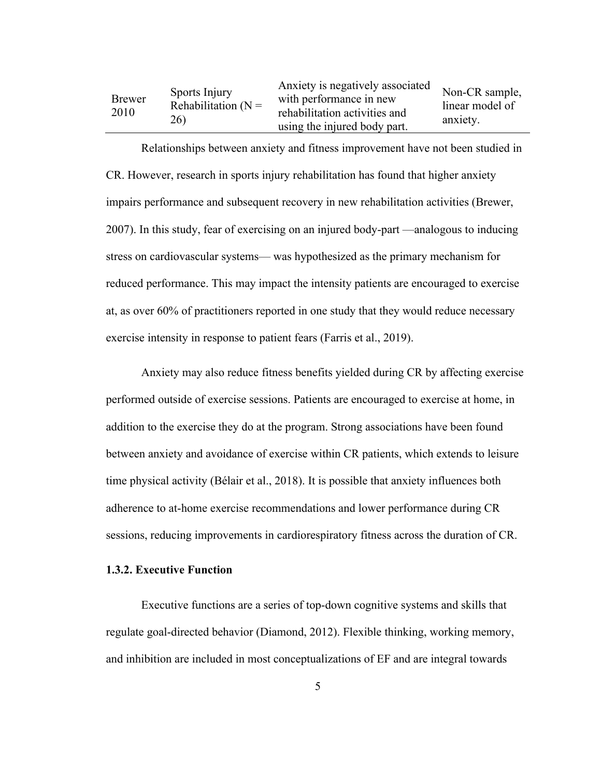| Brewer<br>2010 | Sports Injury<br>Rehabilitation $(N =$<br>26) | Anxiety is negatively associated<br>with performance in new<br>rehabilitation activities and<br>using the injured body part. | Non-CR sample,<br>linear model of<br>anxiety. |
|----------------|-----------------------------------------------|------------------------------------------------------------------------------------------------------------------------------|-----------------------------------------------|
|----------------|-----------------------------------------------|------------------------------------------------------------------------------------------------------------------------------|-----------------------------------------------|

Relationships between anxiety and fitness improvement have not been studied in CR. However, research in sports injury rehabilitation has found that higher anxiety impairs performance and subsequent recovery in new rehabilitation activities (Brewer, 2007). In this study, fear of exercising on an injured body-part —analogous to inducing stress on cardiovascular systems— was hypothesized as the primary mechanism for reduced performance. This may impact the intensity patients are encouraged to exercise at, as over 60% of practitioners reported in one study that they would reduce necessary exercise intensity in response to patient fears (Farris et al., 2019).

Anxiety may also reduce fitness benefits yielded during CR by affecting exercise performed outside of exercise sessions. Patients are encouraged to exercise at home, in addition to the exercise they do at the program. Strong associations have been found between anxiety and avoidance of exercise within CR patients, which extends to leisure time physical activity (Bélair et al., 2018). It is possible that anxiety influences both adherence to at-home exercise recommendations and lower performance during CR sessions, reducing improvements in cardiorespiratory fitness across the duration of CR.

#### **1.3.2. Executive Function**

Executive functions are a series of top-down cognitive systems and skills that regulate goal-directed behavior (Diamond, 2012). Flexible thinking, working memory, and inhibition are included in most conceptualizations of EF and are integral towards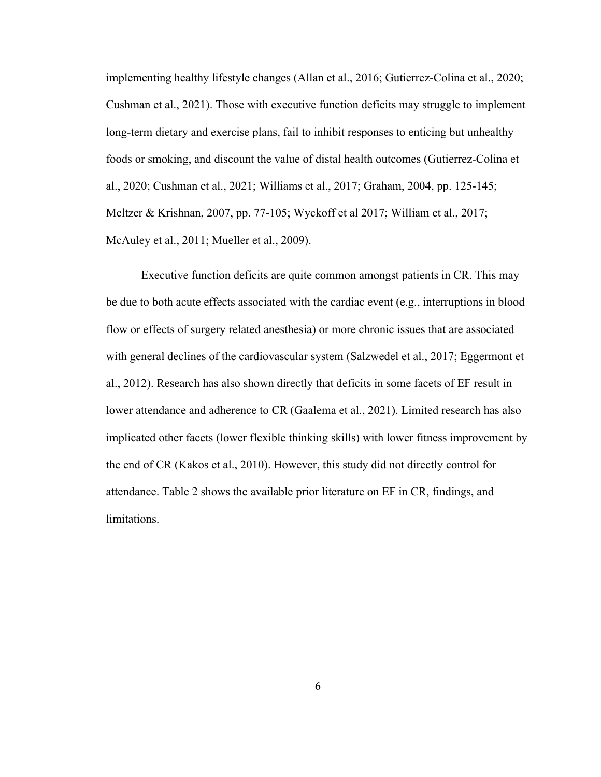implementing healthy lifestyle changes (Allan et al., 2016; Gutierrez-Colina et al., 2020; Cushman et al., 2021). Those with executive function deficits may struggle to implement long-term dietary and exercise plans, fail to inhibit responses to enticing but unhealthy foods or smoking, and discount the value of distal health outcomes (Gutierrez-Colina et al., 2020; Cushman et al., 2021; Williams et al., 2017; Graham, 2004, pp. 125-145; Meltzer & Krishnan, 2007, pp. 77-105; Wyckoff et al 2017; William et al., 2017; McAuley et al., 2011; Mueller et al., 2009).

Executive function deficits are quite common amongst patients in CR. This may be due to both acute effects associated with the cardiac event (e.g., interruptions in blood flow or effects of surgery related anesthesia) or more chronic issues that are associated with general declines of the cardiovascular system (Salzwedel et al., 2017; Eggermont et al., 2012). Research has also shown directly that deficits in some facets of EF result in lower attendance and adherence to CR (Gaalema et al., 2021). Limited research has also implicated other facets (lower flexible thinking skills) with lower fitness improvement by the end of CR (Kakos et al., 2010). However, this study did not directly control for attendance. Table 2 shows the available prior literature on EF in CR, findings, and limitations.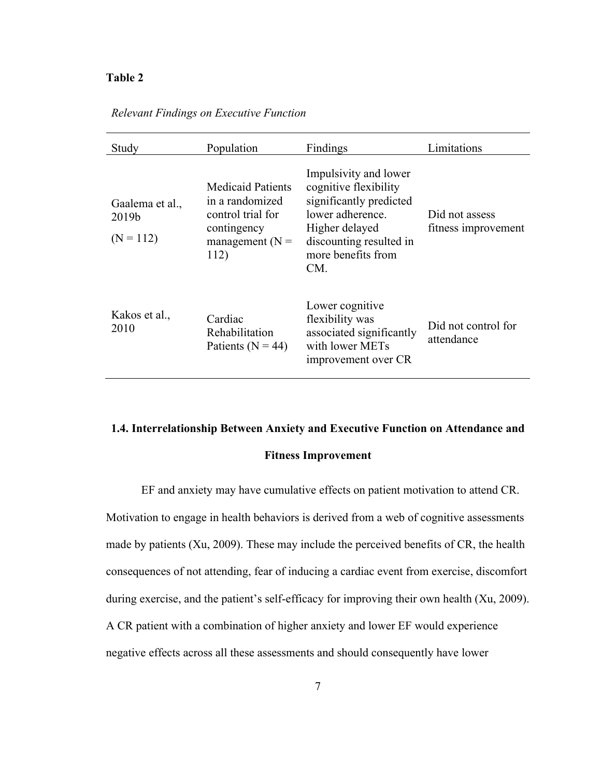## <span id="page-15-0"></span>**Table 2**

| Study                                   | Population                                                                                                    | Findings                                                                                                                                                                | Limitations                           |
|-----------------------------------------|---------------------------------------------------------------------------------------------------------------|-------------------------------------------------------------------------------------------------------------------------------------------------------------------------|---------------------------------------|
| Gaalema et al.,<br>2019b<br>$(N = 112)$ | <b>Medicaid Patients</b><br>in a randomized<br>control trial for<br>contingency<br>management ( $N =$<br>112) | Impulsivity and lower<br>cognitive flexibility<br>significantly predicted<br>lower adherence.<br>Higher delayed<br>discounting resulted in<br>more benefits from<br>CM. | Did not assess<br>fitness improvement |
| Kakos et al.,<br>2010                   | Cardiac<br>Rehabilitation<br>Patients ( $N = 44$ )                                                            | Lower cognitive<br>flexibility was<br>associated significantly<br>with lower METs<br>improvement over CR                                                                | Did not control for<br>attendance     |

#### *Relevant Findings on Executive Function*

## **1.4. Interrelationship Between Anxiety and Executive Function on Attendance and**

#### **Fitness Improvement**

EF and anxiety may have cumulative effects on patient motivation to attend CR. Motivation to engage in health behaviors is derived from a web of cognitive assessments made by patients (Xu, 2009). These may include the perceived benefits of CR, the health consequences of not attending, fear of inducing a cardiac event from exercise, discomfort during exercise, and the patient's self-efficacy for improving their own health (Xu, 2009). A CR patient with a combination of higher anxiety and lower EF would experience negative effects across all these assessments and should consequently have lower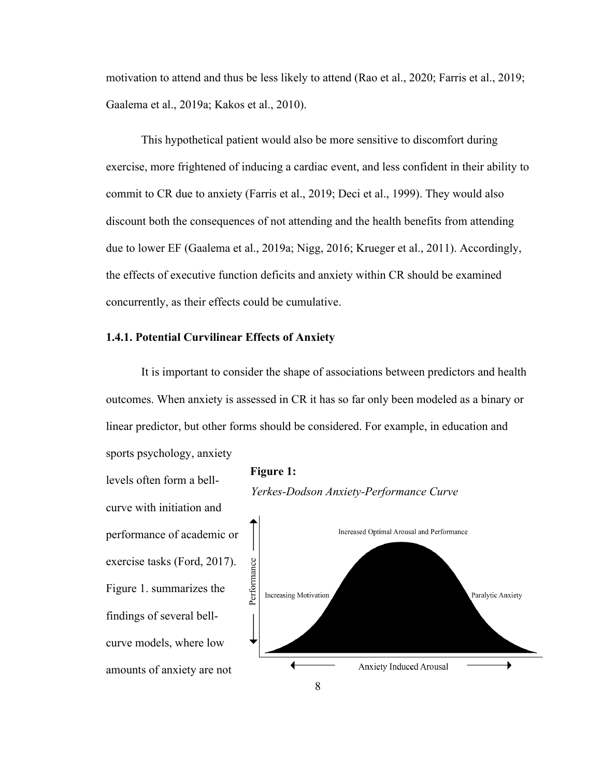motivation to attend and thus be less likely to attend (Rao et al., 2020; Farris et al., 2019; Gaalema et al., 2019a; Kakos et al., 2010).

This hypothetical patient would also be more sensitive to discomfort during exercise, more frightened of inducing a cardiac event, and less confident in their ability to commit to CR due to anxiety (Farris et al., 2019; Deci et al., 1999). They would also discount both the consequences of not attending and the health benefits from attending due to lower EF (Gaalema et al., 2019a; Nigg, 2016; Krueger et al., 2011). Accordingly, the effects of executive function deficits and anxiety within CR should be examined concurrently, as their effects could be cumulative.

#### **1.4.1. Potential Curvilinear Effects of Anxiety**

It is important to consider the shape of associations between predictors and health outcomes. When anxiety is assessed in CR it has so far only been modeled as a binary or linear predictor, but other forms should be considered. For example, in education and sports psychology, anxiety

8

levels often form a bellcurve with initiation and performance of academic or exercise tasks (Ford, 2017). Figure 1. summarizes the findings of several bellcurve models, where low amounts of anxiety are not



**Anxiety Induced Arousal**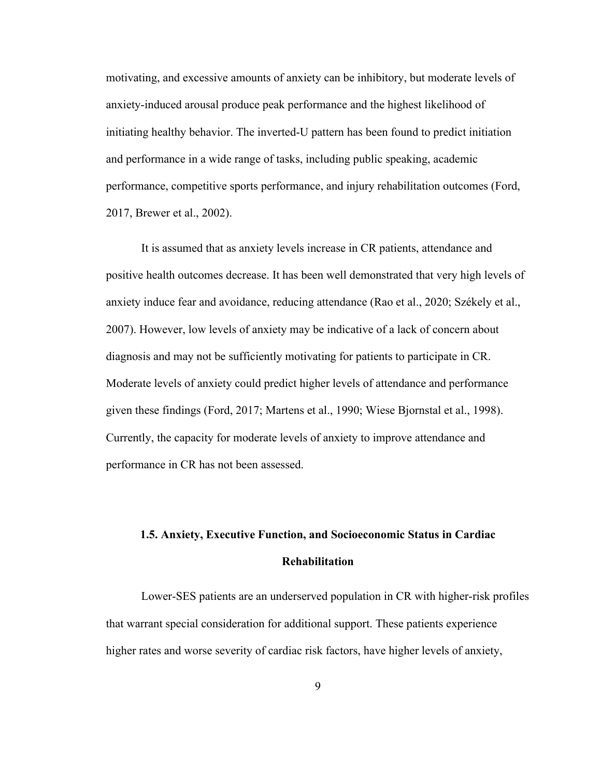motivating, and excessive amounts of anxiety can be inhibitory, but moderate levels of anxiety-induced arousal produce peak performance and the highest likelihood of initiating healthy behavior. The inverted-U pattern has been found to predict initiation and performance in a wide range of tasks, including public speaking, academic performance, competitive sports performance, and injury rehabilitation outcomes (Ford, 2017, Brewer et al., 2002).

It is assumed that as anxiety levels increase in CR patients, attendance and positive health outcomes decrease. It has been well demonstrated that very high levels of anxiety induce fear and avoidance, reducing attendance (Rao et al., 2020; Székely et al., 2007). However, low levels of anxiety may be indicative of a lack of concern about diagnosis and may not be sufficiently motivating for patients to participate in CR. Moderate levels of anxiety could predict higher levels of attendance and performance given these findings (Ford, 2017; Martens et al., 1990; Wiese Bjornstal et al., 1998). Currently, the capacity for moderate levels of anxiety to improve attendance and performance in CR has not been assessed.

# **1.5. Anxiety, Executive Function, and Socioeconomic Status in Cardiac Rehabilitation**

Lower-SES patients are an underserved population in CR with higher-risk profiles that warrant special consideration for additional support. These patients experience higher rates and worse severity of cardiac risk factors, have higher levels of anxiety,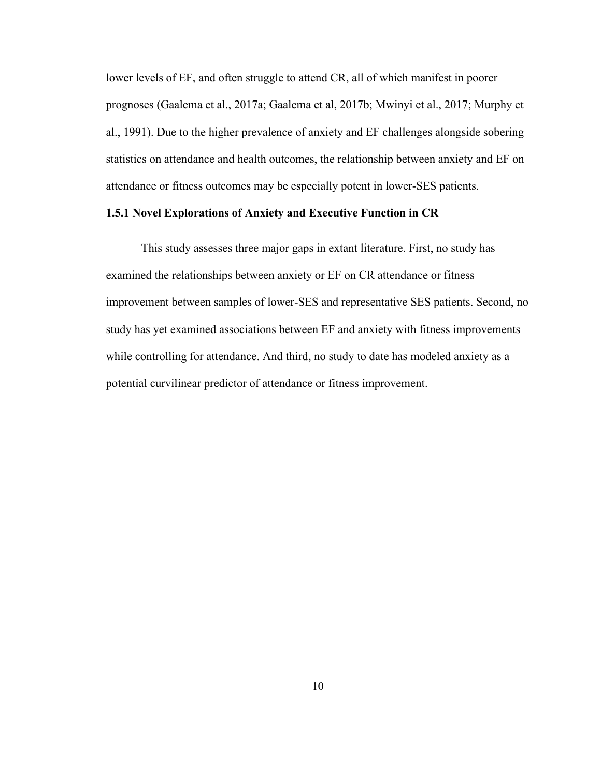lower levels of EF, and often struggle to attend CR, all of which manifest in poorer prognoses (Gaalema et al., 2017a; Gaalema et al, 2017b; Mwinyi et al., 2017; Murphy et al., 1991). Due to the higher prevalence of anxiety and EF challenges alongside sobering statistics on attendance and health outcomes, the relationship between anxiety and EF on attendance or fitness outcomes may be especially potent in lower-SES patients.

## **1.5.1 Novel Explorations of Anxiety and Executive Function in CR**

This study assesses three major gaps in extant literature. First, no study has examined the relationships between anxiety or EF on CR attendance or fitness improvement between samples of lower-SES and representative SES patients. Second, no study has yet examined associations between EF and anxiety with fitness improvements while controlling for attendance. And third, no study to date has modeled anxiety as a potential curvilinear predictor of attendance or fitness improvement.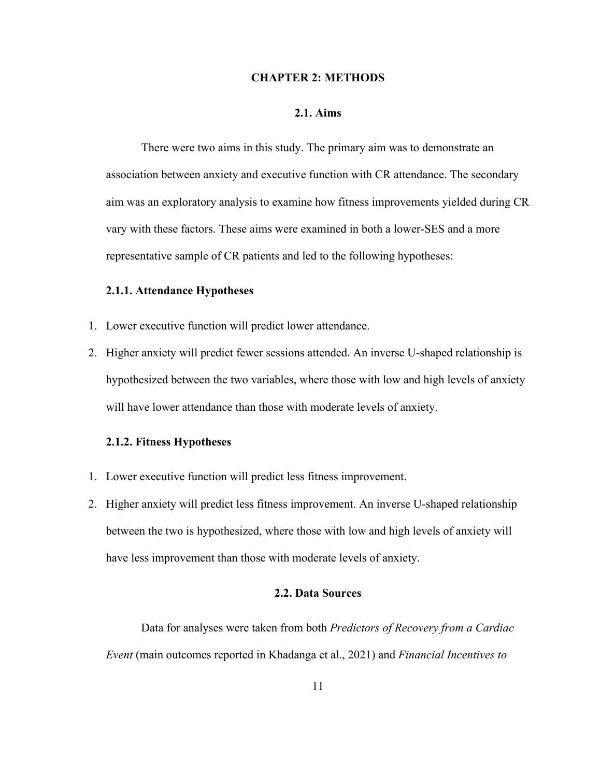#### **CHAPTER 2: METHODS**

#### **2.1. Aims**

<span id="page-19-1"></span><span id="page-19-0"></span>There were two aims in this study. The primary aim was to demonstrate an association between anxiety and executive function with CR attendance. The secondary aim was an exploratory analysis to examine how fitness improvements yielded during CR vary with these factors. These aims were examined in both a lower-SES and a more representative sample of CR patients and led to the following hypotheses:

#### <span id="page-19-2"></span>**2.1.1. Attendance Hypotheses**

- 1. Lower executive function will predict lower attendance.
- 2. Higher anxiety will predict fewer sessions attended. An inverse U-shaped relationship is hypothesized between the two variables, where those with low and high levels of anxiety will have lower attendance than those with moderate levels of anxiety.

#### <span id="page-19-3"></span>**2.1.2. Fitness Hypotheses**

- 1. Lower executive function will predict less fitness improvement.
- 2. Higher anxiety will predict less fitness improvement. An inverse U-shaped relationship between the two is hypothesized, where those with low and high levels of anxiety will have less improvement than those with moderate levels of anxiety.

#### **2.2. Data Sources**

<span id="page-19-4"></span>Data for analyses were taken from both *Predictors of Recovery from a Cardiac Event* (main outcomes reported in Khadanga et al., 2021) and *Financial Incentives to*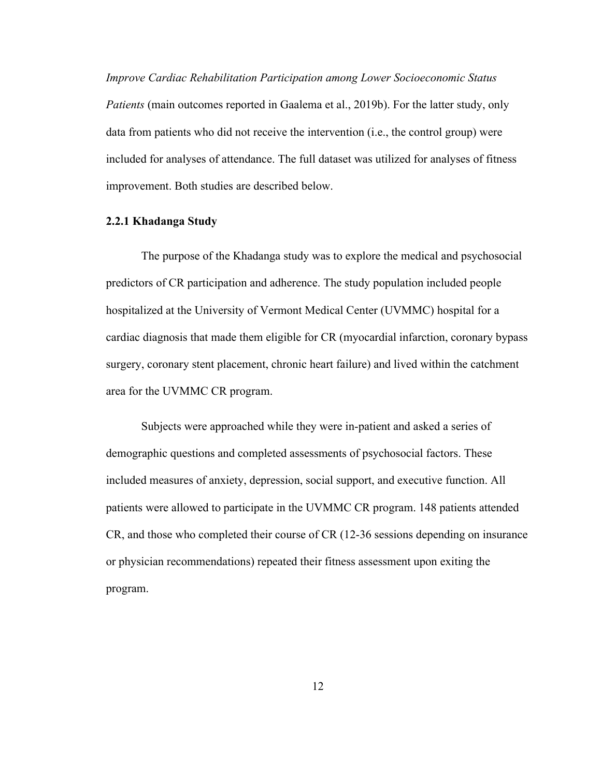*Improve Cardiac Rehabilitation Participation among Lower Socioeconomic Status Patients* (main outcomes reported in Gaalema et al., 2019b). For the latter study, only data from patients who did not receive the intervention (i.e., the control group) were included for analyses of attendance. The full dataset was utilized for analyses of fitness improvement. Both studies are described below.

#### <span id="page-20-0"></span>**2.2.1 Khadanga Study**

The purpose of the Khadanga study was to explore the medical and psychosocial predictors of CR participation and adherence. The study population included people hospitalized at the University of Vermont Medical Center (UVMMC) hospital for a cardiac diagnosis that made them eligible for CR (myocardial infarction, coronary bypass surgery, coronary stent placement, chronic heart failure) and lived within the catchment area for the UVMMC CR program.

Subjects were approached while they were in-patient and asked a series of demographic questions and completed assessments of psychosocial factors. These included measures of anxiety, depression, social support, and executive function. All patients were allowed to participate in the UVMMC CR program. 148 patients attended CR, and those who completed their course of CR (12-36 sessions depending on insurance or physician recommendations) repeated their fitness assessment upon exiting the program.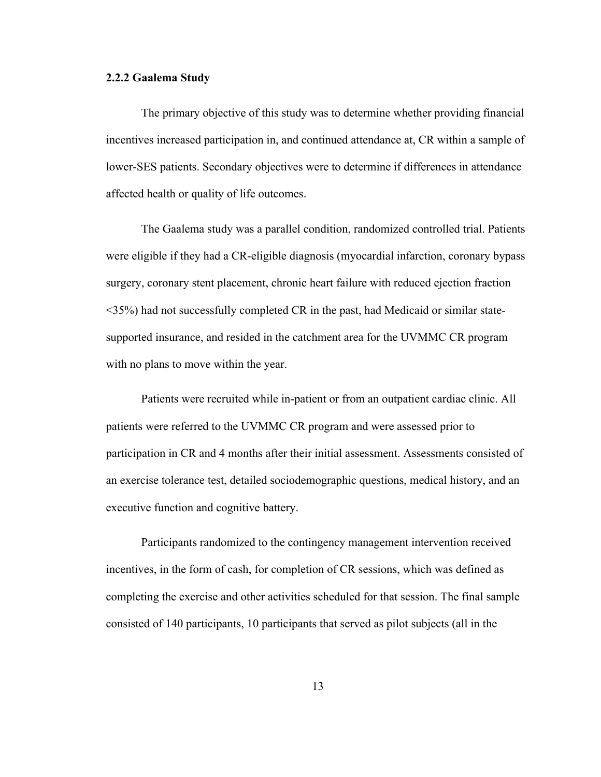## <span id="page-21-0"></span>**2.2.2 Gaalema Study**

The primary objective of this study was to determine whether providing financial incentives increased participation in, and continued attendance at, CR within a sample of lower-SES patients. Secondary objectives were to determine if differences in attendance affected health or quality of life outcomes.

The Gaalema study was a parallel condition, randomized controlled trial. Patients were eligible if they had a CR-eligible diagnosis (myocardial infarction, coronary bypass surgery, coronary stent placement, chronic heart failure with reduced ejection fraction <35%) had not successfully completed CR in the past, had Medicaid or similar statesupported insurance, and resided in the catchment area for the UVMMC CR program with no plans to move within the year.

Patients were recruited while in-patient or from an outpatient cardiac clinic. All patients were referred to the UVMMC CR program and were assessed prior to participation in CR and 4 months after their initial assessment. Assessments consisted of an exercise tolerance test, detailed sociodemographic questions, medical history, and an executive function and cognitive battery.

Participants randomized to the contingency management intervention received incentives, in the form of cash, for completion of CR sessions, which was defined as completing the exercise and other activities scheduled for that session. The final sample consisted of 140 participants, 10 participants that served as pilot subjects (all in the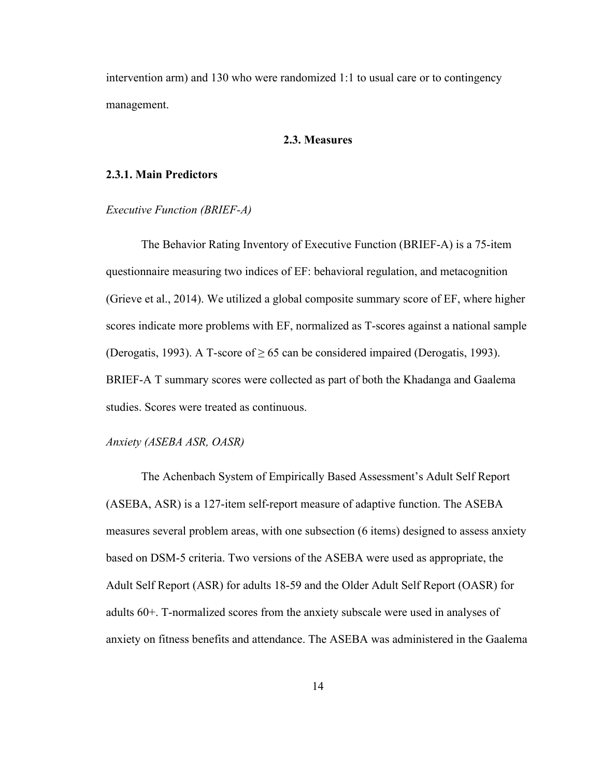intervention arm) and 130 who were randomized 1:1 to usual care or to contingency management.

#### **2.3. Measures**

#### <span id="page-22-1"></span><span id="page-22-0"></span>**2.3.1. Main Predictors**

#### *Executive Function (BRIEF-A)*

The Behavior Rating Inventory of Executive Function (BRIEF-A) is a 75-item questionnaire measuring two indices of EF: behavioral regulation, and metacognition (Grieve et al., 2014). We utilized a global composite summary score of EF, where higher scores indicate more problems with EF, normalized as T-scores against a national sample (Derogatis, 1993). A T-score of  $\geq 65$  can be considered impaired (Derogatis, 1993). BRIEF-A T summary scores were collected as part of both the Khadanga and Gaalema studies. Scores were treated as continuous.

#### *Anxiety (ASEBA ASR, OASR)*

The Achenbach System of Empirically Based Assessment's Adult Self Report (ASEBA, ASR) is a 127-item self-report measure of adaptive function. The ASEBA measures several problem areas, with one subsection (6 items) designed to assess anxiety based on DSM-5 criteria. Two versions of the ASEBA were used as appropriate, the Adult Self Report (ASR) for adults 18-59 and the Older Adult Self Report (OASR) for adults 60+. T-normalized scores from the anxiety subscale were used in analyses of anxiety on fitness benefits and attendance. The ASEBA was administered in the Gaalema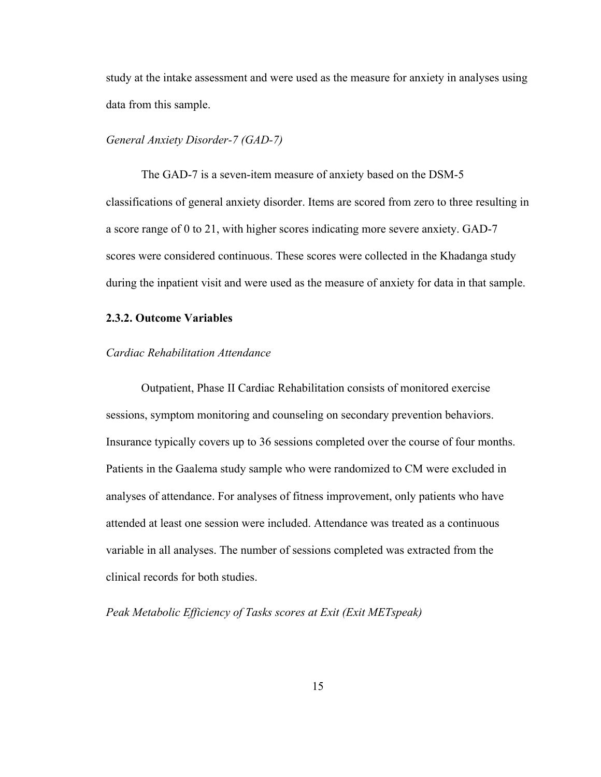study at the intake assessment and were used as the measure for anxiety in analyses using data from this sample.

#### *General Anxiety Disorder-7 (GAD-7)*

The GAD-7 is a seven-item measure of anxiety based on the DSM-5 classifications of general anxiety disorder. Items are scored from zero to three resulting in a score range of 0 to 21, with higher scores indicating more severe anxiety. GAD-7 scores were considered continuous. These scores were collected in the Khadanga study during the inpatient visit and were used as the measure of anxiety for data in that sample.

#### <span id="page-23-0"></span>**2.3.2. Outcome Variables**

#### *Cardiac Rehabilitation Attendance*

Outpatient, Phase II Cardiac Rehabilitation consists of monitored exercise sessions, symptom monitoring and counseling on secondary prevention behaviors. Insurance typically covers up to 36 sessions completed over the course of four months. Patients in the Gaalema study sample who were randomized to CM were excluded in analyses of attendance. For analyses of fitness improvement, only patients who have attended at least one session were included. Attendance was treated as a continuous variable in all analyses. The number of sessions completed was extracted from the clinical records for both studies.

*Peak Metabolic Efficiency of Tasks scores at Exit (Exit METspeak)*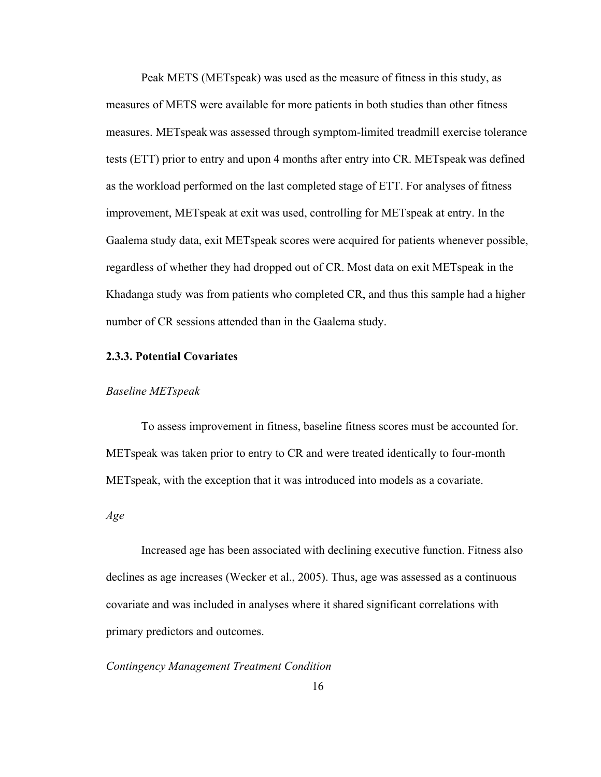Peak METS (METspeak) was used as the measure of fitness in this study, as measures of METS were available for more patients in both studies than other fitness measures. METspeak was assessed through symptom-limited treadmill exercise tolerance tests (ETT) prior to entry and upon 4 months after entry into CR. METspeak was defined as the workload performed on the last completed stage of ETT. For analyses of fitness improvement, METspeak at exit was used, controlling for METspeak at entry. In the Gaalema study data, exit METspeak scores were acquired for patients whenever possible, regardless of whether they had dropped out of CR. Most data on exit METspeak in the Khadanga study was from patients who completed CR, and thus this sample had a higher number of CR sessions attended than in the Gaalema study.

#### <span id="page-24-0"></span>**2.3.3. Potential Covariates**

#### *Baseline METspeak*

To assess improvement in fitness, baseline fitness scores must be accounted for. METspeak was taken prior to entry to CR and were treated identically to four-month METspeak, with the exception that it was introduced into models as a covariate.

*Age*

Increased age has been associated with declining executive function. Fitness also declines as age increases (Wecker et al., 2005). Thus, age was assessed as a continuous covariate and was included in analyses where it shared significant correlations with primary predictors and outcomes.

### *Contingency Management Treatment Condition*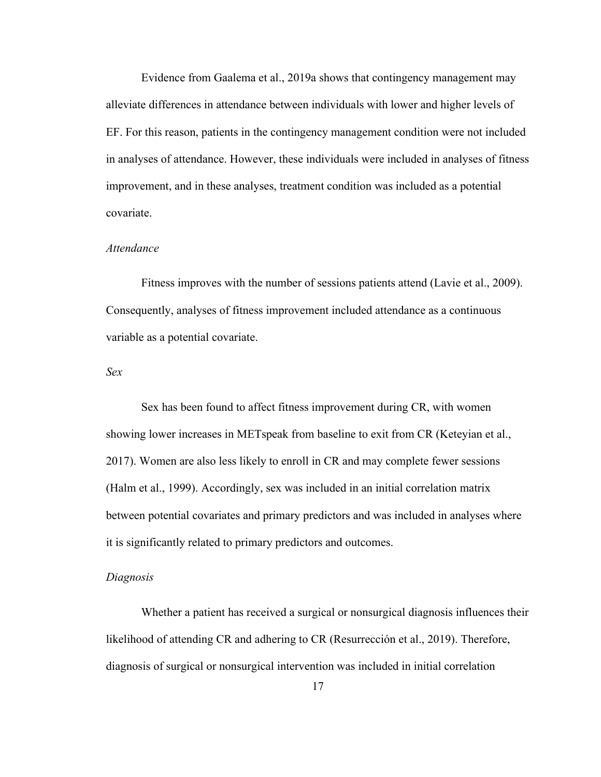Evidence from Gaalema et al., 2019a shows that contingency management may alleviate differences in attendance between individuals with lower and higher levels of EF. For this reason, patients in the contingency management condition were not included in analyses of attendance. However, these individuals were included in analyses of fitness improvement, and in these analyses, treatment condition was included as a potential covariate.

#### *Attendance*

Fitness improves with the number of sessions patients attend (Lavie et al., 2009). Consequently, analyses of fitness improvement included attendance as a continuous variable as a potential covariate.

#### *Sex*

Sex has been found to affect fitness improvement during CR, with women showing lower increases in METspeak from baseline to exit from CR (Keteyian et al., 2017). Women are also less likely to enroll in CR and may complete fewer sessions (Halm et al., 1999). Accordingly, sex was included in an initial correlation matrix between potential covariates and primary predictors and was included in analyses where it is significantly related to primary predictors and outcomes.

#### *Diagnosis*

Whether a patient has received a surgical or nonsurgical diagnosis influences their likelihood of attending CR and adhering to CR (Resurrección et al., 2019). Therefore, diagnosis of surgical or nonsurgical intervention was included in initial correlation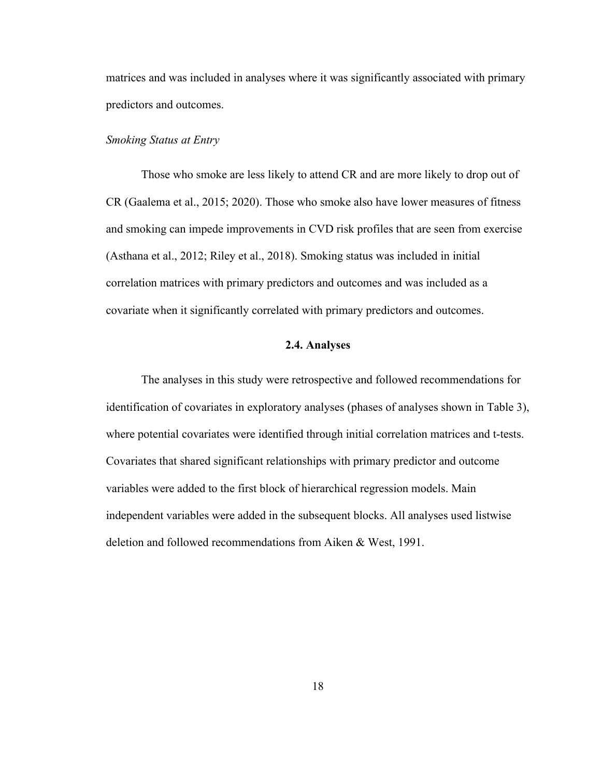matrices and was included in analyses where it was significantly associated with primary predictors and outcomes.

#### *Smoking Status at Entry*

Those who smoke are less likely to attend CR and are more likely to drop out of CR (Gaalema et al., 2015; 2020). Those who smoke also have lower measures of fitness and smoking can impede improvements in CVD risk profiles that are seen from exercise (Asthana et al., 2012; Riley et al., 2018). Smoking status was included in initial correlation matrices with primary predictors and outcomes and was included as a covariate when it significantly correlated with primary predictors and outcomes.

### **2.4. Analyses**

<span id="page-26-0"></span>The analyses in this study were retrospective and followed recommendations for identification of covariates in exploratory analyses (phases of analyses shown in Table 3), where potential covariates were identified through initial correlation matrices and t-tests. Covariates that shared significant relationships with primary predictor and outcome variables were added to the first block of hierarchical regression models. Main independent variables were added in the subsequent blocks. All analyses used listwise deletion and followed recommendations from Aiken & West, 1991.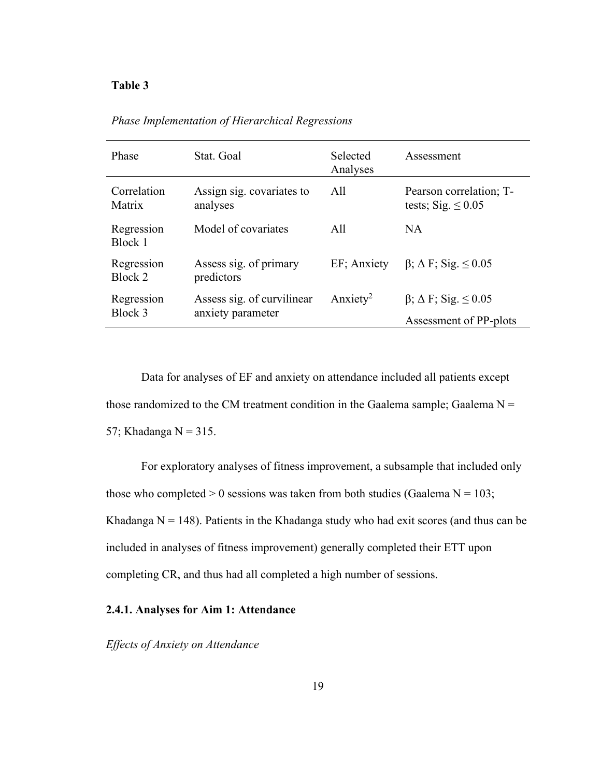#### <span id="page-27-1"></span>**Table 3**

| Phase                 | Stat. Goal                                      | Selected<br>Analyses | Assessment                                                       |
|-----------------------|-------------------------------------------------|----------------------|------------------------------------------------------------------|
| Correlation<br>Matrix | Assign sig. covariates to<br>analyses           | All                  | Pearson correlation; T-<br>tests; Sig. $\leq 0.05$               |
| Regression<br>Block 1 | Model of covariates                             | All                  | NA                                                               |
| Regression<br>Block 2 | Assess sig. of primary<br>predictors            | EF; Anxiety          | $\beta$ ; $\Delta$ F; Sig. $\leq$ 0.05                           |
| Regression<br>Block 3 | Assess sig. of curvilinear<br>anxiety parameter | Anxiety <sup>2</sup> | $\beta$ ; $\Delta$ F; Sig. $\leq 0.05$<br>Assessment of PP-plots |

*Phase Implementation of Hierarchical Regressions* 

Data for analyses of EF and anxiety on attendance included all patients except those randomized to the CM treatment condition in the Gaalema sample; Gaalema  $N =$ 57; Khadanga  $N = 315$ .

For exploratory analyses of fitness improvement, a subsample that included only those who completed  $> 0$  sessions was taken from both studies (Gaalema N = 103; Khadanga  $N = 148$ ). Patients in the Khadanga study who had exit scores (and thus can be included in analyses of fitness improvement) generally completed their ETT upon completing CR, and thus had all completed a high number of sessions.

## <span id="page-27-0"></span>**2.4.1. Analyses for Aim 1: Attendance**

*Effects of Anxiety on Attendance*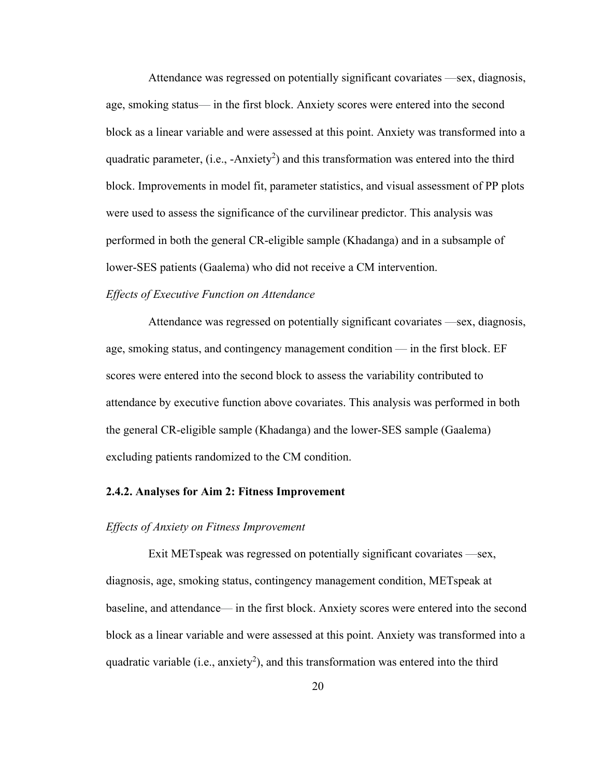Attendance was regressed on potentially significant covariates —sex, diagnosis, age, smoking status— in the first block. Anxiety scores were entered into the second block as a linear variable and were assessed at this point. Anxiety was transformed into a quadratic parameter, (i.e., -Anxiety<sup>2</sup>) and this transformation was entered into the third block. Improvements in model fit, parameter statistics, and visual assessment of PP plots were used to assess the significance of the curvilinear predictor. This analysis was performed in both the general CR-eligible sample (Khadanga) and in a subsample of lower-SES patients (Gaalema) who did not receive a CM intervention.

#### *Effects of Executive Function on Attendance*

Attendance was regressed on potentially significant covariates —sex, diagnosis, age, smoking status, and contingency management condition — in the first block. EF scores were entered into the second block to assess the variability contributed to attendance by executive function above covariates. This analysis was performed in both the general CR-eligible sample (Khadanga) and the lower-SES sample (Gaalema) excluding patients randomized to the CM condition.

#### <span id="page-28-0"></span>**2.4.2. Analyses for Aim 2: Fitness Improvement**

#### *Effects of Anxiety on Fitness Improvement*

Exit METspeak was regressed on potentially significant covariates —sex, diagnosis, age, smoking status, contingency management condition, METspeak at baseline, and attendance— in the first block. Anxiety scores were entered into the second block as a linear variable and were assessed at this point. Anxiety was transformed into a quadratic variable (i.e., anxiety<sup>2</sup>), and this transformation was entered into the third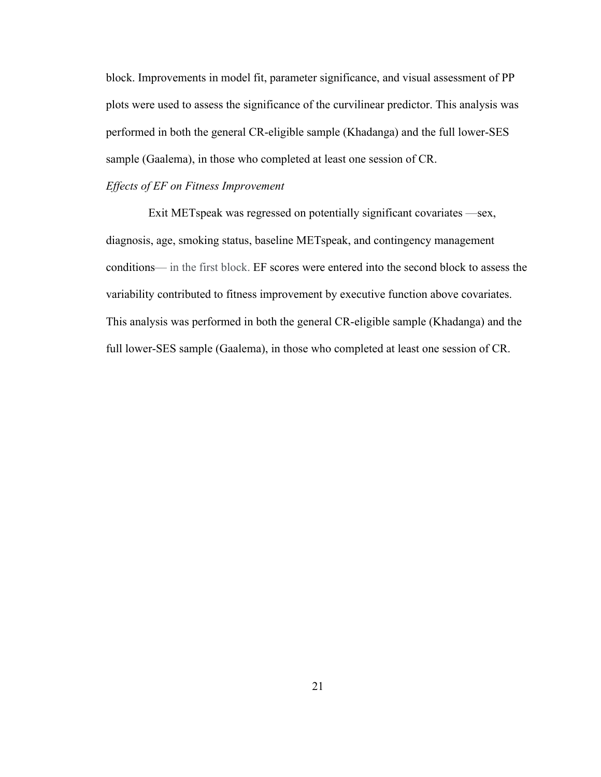block. Improvements in model fit, parameter significance, and visual assessment of PP plots were used to assess the significance of the curvilinear predictor. This analysis was performed in both the general CR-eligible sample (Khadanga) and the full lower-SES sample (Gaalema), in those who completed at least one session of CR.

#### *Effects of EF on Fitness Improvement*

Exit METspeak was regressed on potentially significant covariates —sex, diagnosis, age, smoking status, baseline METspeak, and contingency management conditions— in the first block. EF scores were entered into the second block to assess the variability contributed to fitness improvement by executive function above covariates. This analysis was performed in both the general CR-eligible sample (Khadanga) and the full lower-SES sample (Gaalema), in those who completed at least one session of CR.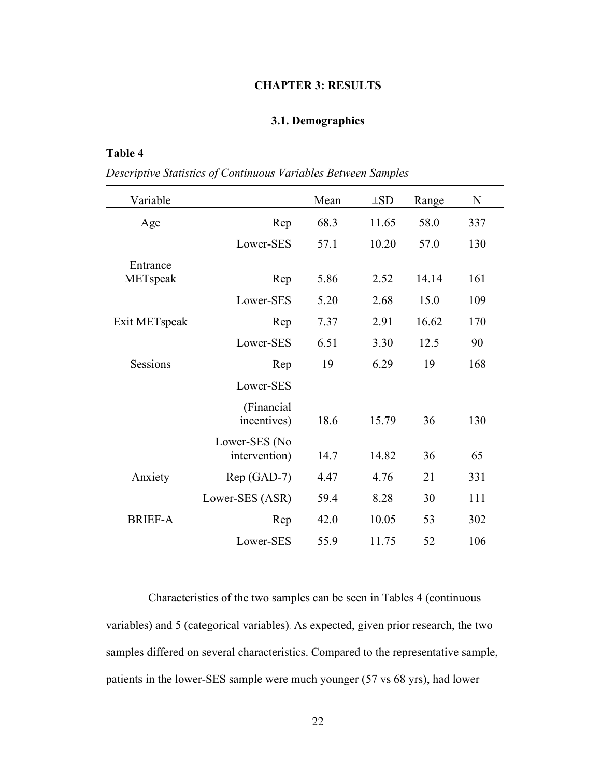#### **CHAPTER 3: RESULTS**

## **3.1. Demographics**

## <span id="page-30-2"></span><span id="page-30-1"></span><span id="page-30-0"></span>**Table 4**

*Descriptive Statistics of Continuous Variables Between Samples*

| Variable        |                                | Mean | $\pm SD$ | Range | N   |
|-----------------|--------------------------------|------|----------|-------|-----|
| Age             | Rep                            | 68.3 | 11.65    | 58.0  | 337 |
|                 | Lower-SES                      | 57.1 | 10.20    | 57.0  | 130 |
| Entrance        |                                |      |          |       |     |
| METspeak        | Rep                            | 5.86 | 2.52     | 14.14 | 161 |
|                 | Lower-SES                      | 5.20 | 2.68     | 15.0  | 109 |
| Exit METspeak   | Rep                            | 7.37 | 2.91     | 16.62 | 170 |
|                 | Lower-SES                      | 6.51 | 3.30     | 12.5  | 90  |
| <b>Sessions</b> | Rep                            | 19   | 6.29     | 19    | 168 |
|                 | Lower-SES                      |      |          |       |     |
|                 | (Financial<br>incentives)      | 18.6 | 15.79    | 36    | 130 |
|                 | Lower-SES (No<br>intervention) | 14.7 | 14.82    | 36    | 65  |
| Anxiety         | Rep (GAD-7)                    | 4.47 | 4.76     | 21    | 331 |
|                 | Lower-SES (ASR)                | 59.4 | 8.28     | 30    | 111 |
| <b>BRIEF-A</b>  | Rep                            | 42.0 | 10.05    | 53    | 302 |
|                 | Lower-SES                      | 55.9 | 11.75    | 52    | 106 |

Characteristics of the two samples can be seen in Tables 4 (continuous variables) and 5 (categorical variables). As expected, given prior research, the two samples differed on several characteristics. Compared to the representative sample, patients in the lower-SES sample were much younger (57 vs 68 yrs), had lower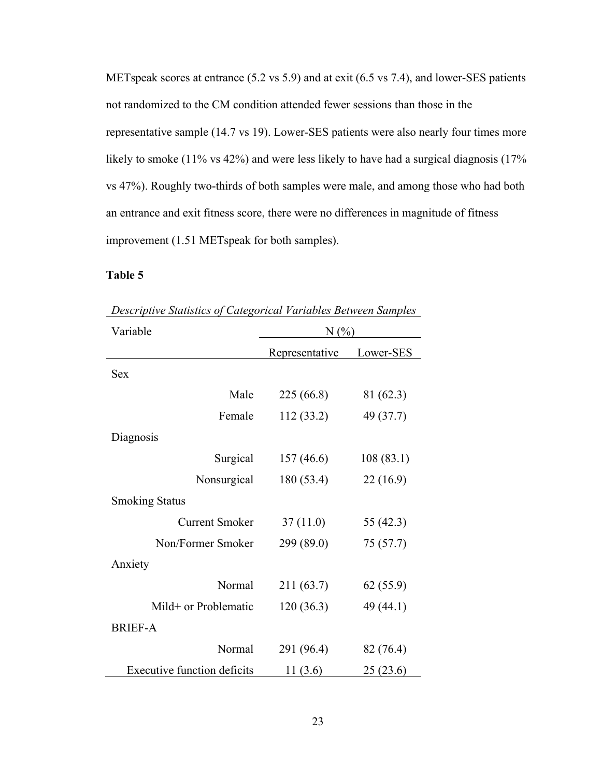METspeak scores at entrance (5.2 vs 5.9) and at exit (6.5 vs 7.4), and lower-SES patients not randomized to the CM condition attended fewer sessions than those in the representative sample (14.7 vs 19). Lower-SES patients were also nearly four times more likely to smoke (11% vs 42%) and were less likely to have had a surgical diagnosis (17% vs 47%). Roughly two-thirds of both samples were male, and among those who had both an entrance and exit fitness score, there were no differences in magnitude of fitness improvement (1.51 METspeak for both samples).

## <span id="page-31-0"></span>**Table 5**

| Variable                           | N(%            |           |  |
|------------------------------------|----------------|-----------|--|
|                                    | Representative | Lower-SES |  |
| <b>Sex</b>                         |                |           |  |
| Male                               | 225 (66.8)     | 81 (62.3) |  |
| Female                             | 112 (33.2)     | 49 (37.7) |  |
| Diagnosis                          |                |           |  |
| Surgical                           | 157(46.6)      | 108(83.1) |  |
| Nonsurgical                        | 180 (53.4)     | 22(16.9)  |  |
| <b>Smoking Status</b>              |                |           |  |
| <b>Current Smoker</b>              | 37(11.0)       | 55 (42.3) |  |
| Non/Former Smoker                  | 299 (89.0)     | 75(57.7)  |  |
| Anxiety                            |                |           |  |
| Normal                             | 211 (63.7)     | 62(55.9)  |  |
| Mild+ or Problematic               | 120(36.3)      | 49 (44.1) |  |
| <b>BRIEF-A</b>                     |                |           |  |
| Normal                             | 291 (96.4)     | 82 (76.4) |  |
| <b>Executive function deficits</b> | 11(3.6)        | 25(23.6)  |  |

*Descriptive Statistics of Categorical Variables Between Samples*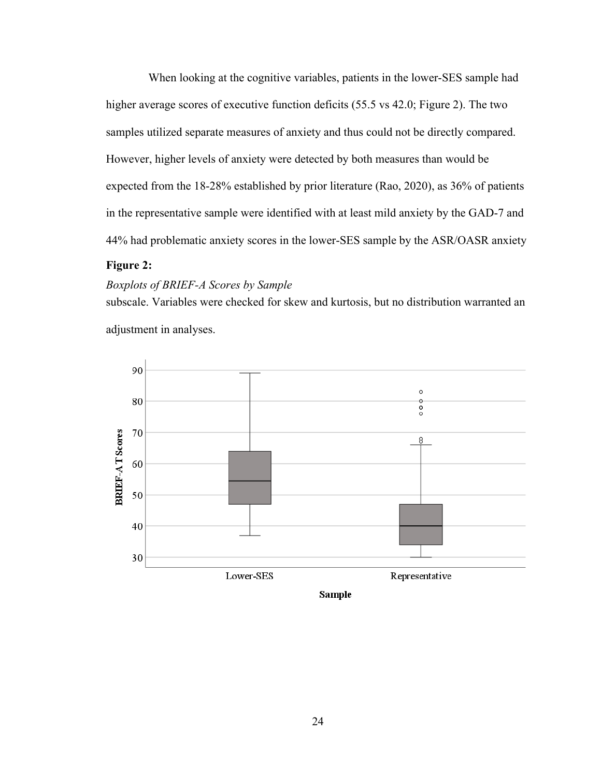When looking at the cognitive variables, patients in the lower-SES sample had higher average scores of executive function deficits (55.5 vs 42.0; Figure 2). The two samples utilized separate measures of anxiety and thus could not be directly compared. However, higher levels of anxiety were detected by both measures than would be expected from the 18-28% established by prior literature (Rao, 2020), as 36% of patients in the representative sample were identified with at least mild anxiety by the GAD-7 and 44% had problematic anxiety scores in the lower-SES sample by the ASR/OASR anxiety

## **Figure 2:**

#### *Boxplots of BRIEF-A Scores by Sample*

subscale. Variables were checked for skew and kurtosis, but no distribution warranted an adjustment in analyses.

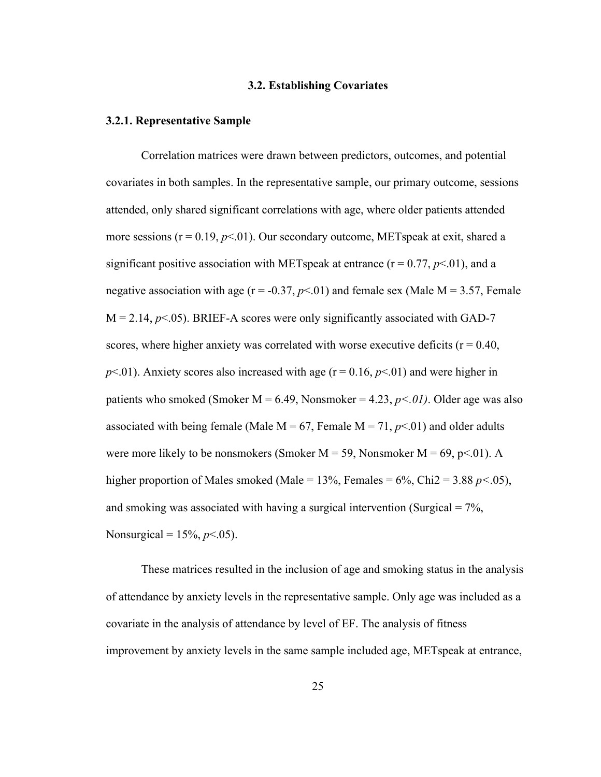#### **3.2. Establishing Covariates**

#### <span id="page-33-1"></span><span id="page-33-0"></span>**3.2.1. Representative Sample**

Correlation matrices were drawn between predictors, outcomes, and potential covariates in both samples. In the representative sample, our primary outcome, sessions attended, only shared significant correlations with age, where older patients attended more sessions  $(r = 0.19, p < 0.01)$ . Our secondary outcome, METspeak at exit, shared a significant positive association with METspeak at entrance  $(r = 0.77, p < 0.01)$ , and a negative association with age  $(r = -0.37, p < 0.01)$  and female sex (Male M = 3.57, Female  $M = 2.14$ ,  $p \le 0.05$ ). BRIEF-A scores were only significantly associated with GAD-7 scores, where higher anxiety was correlated with worse executive deficits ( $r = 0.40$ ,  $p<.01$ ). Anxiety scores also increased with age ( $r = 0.16$ ,  $p<.01$ ) and were higher in patients who smoked (Smoker M = 6.49, Nonsmoker = 4.23,  $p < 01$ ). Older age was also associated with being female (Male  $M = 67$ , Female  $M = 71$ ,  $p \le 01$ ) and older adults were more likely to be nonsmokers (Smoker  $M = 59$ , Nonsmoker  $M = 69$ , p<.01). A higher proportion of Males smoked (Male = 13%, Females = 6%, Chi2 = 3.88 *p<*.05), and smoking was associated with having a surgical intervention (Surgical  $= 7\%$ , Nonsurgical =  $15\%, p < .05$ ).

These matrices resulted in the inclusion of age and smoking status in the analysis of attendance by anxiety levels in the representative sample. Only age was included as a covariate in the analysis of attendance by level of EF. The analysis of fitness improvement by anxiety levels in the same sample included age, METspeak at entrance,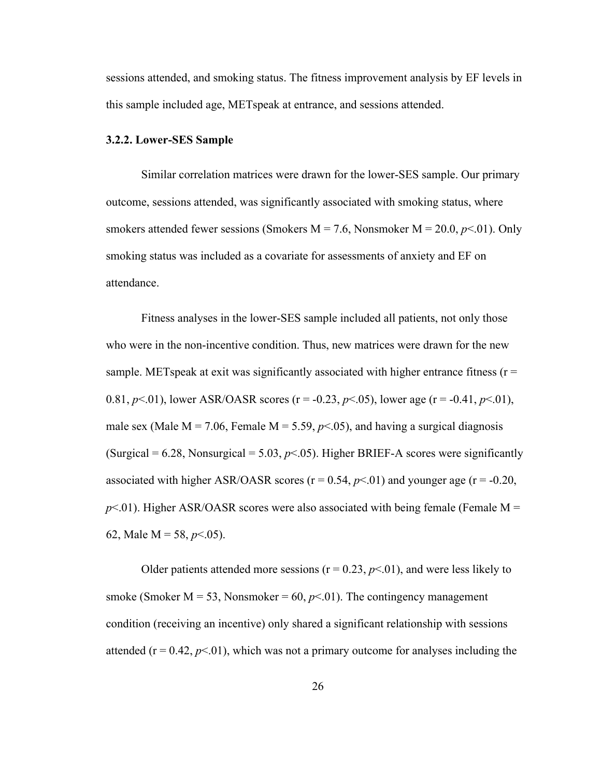sessions attended, and smoking status. The fitness improvement analysis by EF levels in this sample included age, METspeak at entrance, and sessions attended.

#### <span id="page-34-0"></span>**3.2.2. Lower-SES Sample**

Similar correlation matrices were drawn for the lower-SES sample. Our primary outcome, sessions attended, was significantly associated with smoking status, where smokers attended fewer sessions (Smokers  $M = 7.6$ , Nonsmoker  $M = 20.0$ ,  $p < 01$ ). Only smoking status was included as a covariate for assessments of anxiety and EF on attendance.

Fitness analyses in the lower-SES sample included all patients, not only those who were in the non-incentive condition. Thus, new matrices were drawn for the new sample. METspeak at exit was significantly associated with higher entrance fitness ( $r =$ 0.81,  $p<.01$ ), lower ASR/OASR scores (r = -0.23,  $p<.05$ ), lower age (r = -0.41,  $p<.01$ ), male sex (Male  $M = 7.06$ , Female  $M = 5.59$ ,  $p<0.05$ ), and having a surgical diagnosis (Surgical =  $6.28$ , Nonsurgical =  $5.03$ ,  $p<.05$ ). Higher BRIEF-A scores were significantly associated with higher ASR/OASR scores  $(r = 0.54, p < 0.01)$  and younger age  $(r = -0.20,$  $p<.01$ ). Higher ASR/OASR scores were also associated with being female (Female M = 62, Male M = 58, *p*<.05).

Older patients attended more sessions ( $r = 0.23$ ,  $p < 0.01$ ), and were less likely to smoke (Smoker  $M = 53$ , Nonsmoker = 60,  $p<0$ 1). The contingency management condition (receiving an incentive) only shared a significant relationship with sessions attended ( $r = 0.42$ ,  $p \le 01$ ), which was not a primary outcome for analyses including the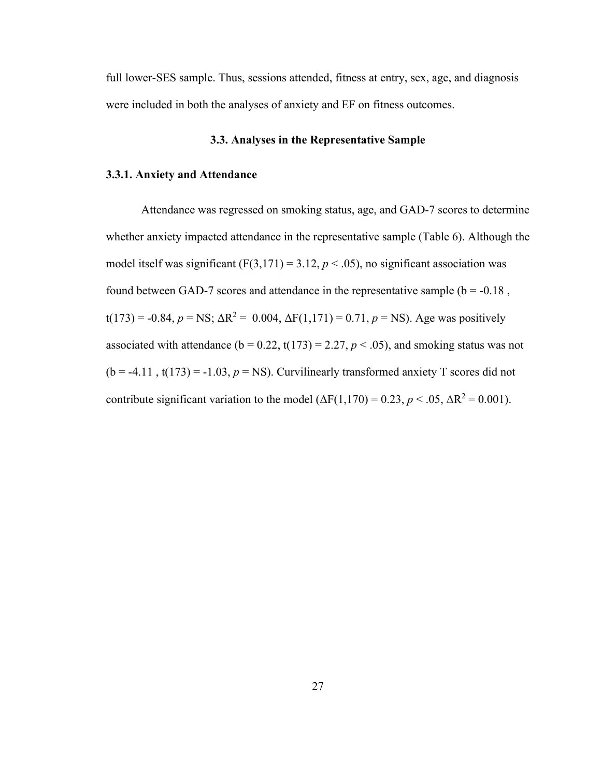full lower-SES sample. Thus, sessions attended, fitness at entry, sex, age, and diagnosis were included in both the analyses of anxiety and EF on fitness outcomes.

#### **3.3. Analyses in the Representative Sample**

#### <span id="page-35-1"></span><span id="page-35-0"></span>**3.3.1. Anxiety and Attendance**

Attendance was regressed on smoking status, age, and GAD-7 scores to determine whether anxiety impacted attendance in the representative sample (Table 6). Although the model itself was significant  $(F(3,171) = 3.12, p < .05)$ , no significant association was found between GAD-7 scores and attendance in the representative sample ( $b = -0.18$ , t(173) = -0.84,  $p = NS$ ;  $\Delta R^2 = 0.004$ ,  $\Delta F(1,171) = 0.71$ ,  $p = NS$ ). Age was positively associated with attendance ( $b = 0.22$ ,  $t(173) = 2.27$ ,  $p < .05$ ), and smoking status was not  $(b = -4.11, t(173) = -1.03, p = NS)$ . Curvilinearly transformed anxiety T scores did not contribute significant variation to the model  $(\Delta F(1,170) = 0.23, p < .05, \Delta R^2 = 0.001)$ .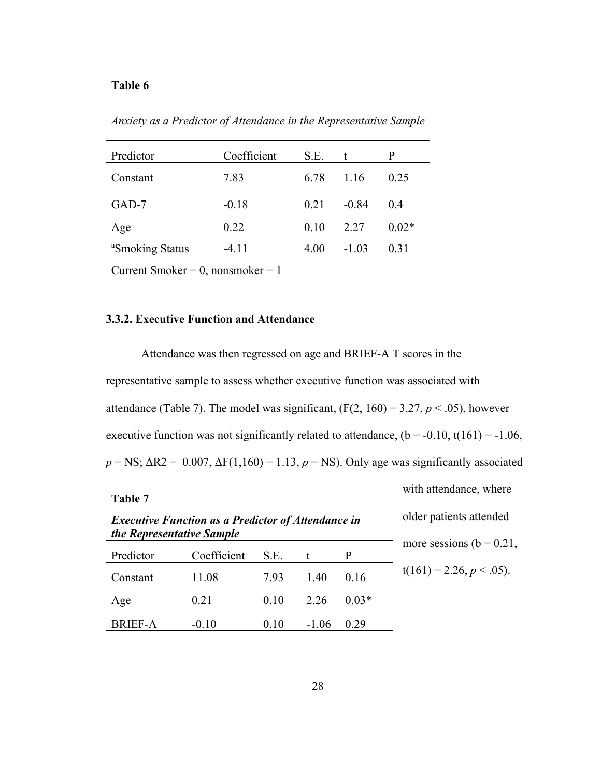### <span id="page-36-1"></span>**Table 6**

*Anxiety as a Predictor of Attendance in the Representative Sample*

| Predictor                   | Coefficient | S.E. | t.      | P       |
|-----------------------------|-------------|------|---------|---------|
| Constant                    | 7.83        | 6.78 | 1.16    | 0.25    |
| $GAD-7$                     | $-0.18$     | 0.21 | $-0.84$ | 0.4     |
| Age                         | 0.22        | 0.10 | 2.27    | $0.02*$ |
| <sup>a</sup> Smoking Status | $-4.11$     | 4.00 | $-1.03$ | 0.31    |

Current Smoker =  $0$ , nonsmoker =  $1$ 

## <span id="page-36-0"></span>**3.3.2. Executive Function and Attendance**

Attendance was then regressed on age and BRIEF-A T scores in the representative sample to assess whether executive function was associated with attendance (Table 7). The model was significant,  $(F(2, 160) = 3.27, p < .05)$ , however executive function was not significantly related to attendance,  $(b = -0.10, t(161) = -1.06,$  $p = NS$ ;  $\Delta R2 = 0.007$ ,  $\Delta F(1,160) = 1.13$ ,  $p = NS$ ). Only age was significantly associated

#### <span id="page-36-2"></span>**Table 7**

with attendance, where

| <b>Executive Function as a Predictor of Attendance in</b> |
|-----------------------------------------------------------|
| the Representative Sample                                 |

| older patients attended      |
|------------------------------|
| more sessions ( $b = 0.21$ , |
| $t(161) = 2.26, p < .05$ ).  |

| Predictor      | Coefficient | S.E. |         |         |
|----------------|-------------|------|---------|---------|
| Constant       | 11.08       | 7.93 | 1.40    | 0.16    |
| Age            | 0.21        | 0.10 | 2.26    | $0.03*$ |
| <b>BRIEF-A</b> | $-0.10$     | 0.10 | $-1.06$ | 0.29    |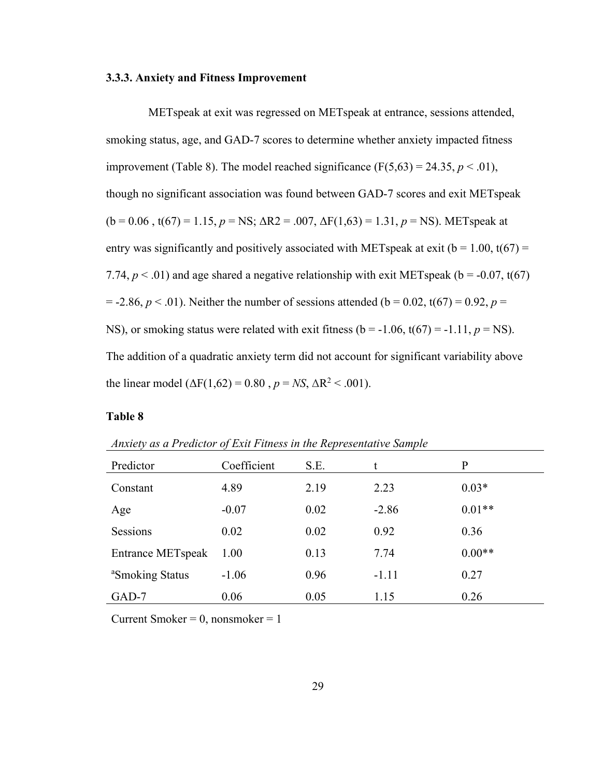#### <span id="page-37-0"></span>**3.3.3. Anxiety and Fitness Improvement**

METspeak at exit was regressed on METspeak at entrance, sessions attended, smoking status, age, and GAD-7 scores to determine whether anxiety impacted fitness improvement (Table 8). The model reached significance  $(F(5,63) = 24.35, p < .01)$ , though no significant association was found between GAD-7 scores and exit METspeak  $(b = 0.06, t(67) = 1.15, p = NS$ ;  $\Delta R2 = .007, \Delta F(1,63) = 1.31, p = NS$ ). METspeak at entry was significantly and positively associated with METspeak at exit ( $b = 1.00$ ,  $t(67) =$ 7.74,  $p < .01$ ) and age shared a negative relationship with exit METspeak ( $b = -0.07$ , t(67)  $= -2.86, p < .01$ ). Neither the number of sessions attended (b = 0.02, t(67) = 0.92, p = NS), or smoking status were related with exit fitness ( $b = -1.06$ ,  $t(67) = -1.11$ ,  $p = NS$ ). The addition of a quadratic anxiety term did not account for significant variability above the linear model ( $\Delta F(1,62) = 0.80$ ,  $p = NS$ ,  $\Delta R^2 < .001$ ).

#### <span id="page-37-1"></span>**Table 8**

| Theory as a Freudly of Exil I thress in the Kept eschiatre sample |             |      |         |          |  |  |
|-------------------------------------------------------------------|-------------|------|---------|----------|--|--|
| Predictor                                                         | Coefficient | S.E. |         | μ        |  |  |
| Constant                                                          | 4.89        | 2.19 | 2.23    | $0.03*$  |  |  |
| Age                                                               | $-0.07$     | 0.02 | $-2.86$ | $0.01**$ |  |  |
| Sessions                                                          | 0.02        | 0.02 | 0.92    | 0.36     |  |  |
|                                                                   |             |      |         |          |  |  |

Entrance METspeak 1.00 0.13 7.74 0.00\*\*

<sup>a</sup>Smoking Status -1.06 0.96 -1.11 0.27

GAD-7 0.06 0.05 1.15 0.26

*Anxiety as a Predictor of Exit Fitness in the Representative Sample*

Current Smoker =  $0$ , nonsmoker =  $1$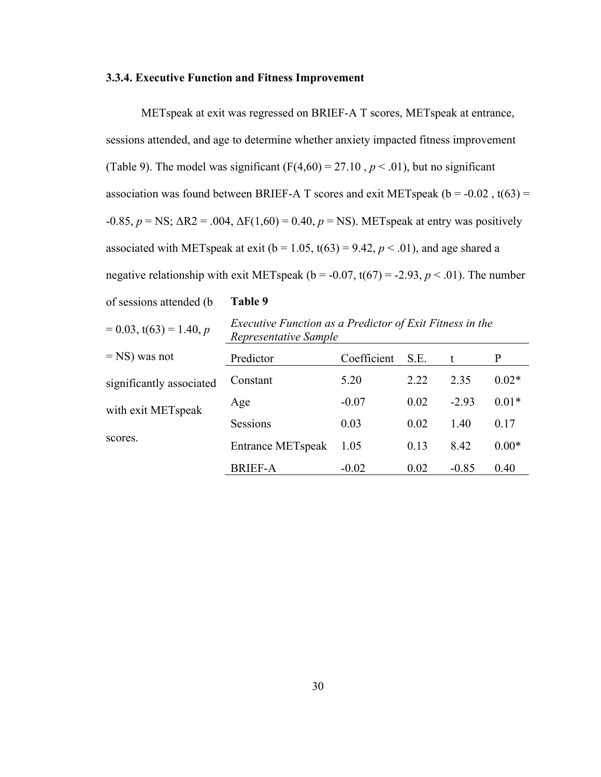#### **3.3.4. Executive Function and Fitness Improvement**

METspeak at exit was regressed on BRIEF-A T scores, METspeak at entrance, sessions attended, and age to determine whether anxiety impacted fitness improvement (Table 9). The model was significant  $(F(4,60) = 27.10, p < .01)$ , but no significant association was found between BRIEF-A T scores and exit METspeak ( $b = -0.02$ ,  $t(63) =$  $-0.85, p =$ NS; ΔR2 = .004, ΔF(1,60) = 0.40,  $p =$ NS). METs peak at entry was positively associated with METspeak at exit ( $b = 1.05$ ,  $t(63) = 9.42$ ,  $p < .01$ ), and age shared a negative relationship with exit METspeak ( $b = -0.07$ ,  $t(67) = -2.93$ ,  $p < .01$ ). The number

of sessions attended (b

#### <span id="page-38-0"></span>**Table 9**

 $= 0.03$ ,  $t(63) = 1.40$ , *p* 

*Executive Function as a Predictor of Exit Fitness in the Representative Sample*

| $=$ NS) was not               | Predictor                | Coefficient | S.E. |         |         |
|-------------------------------|--------------------------|-------------|------|---------|---------|
| significantly associated      | Constant                 | 5.20        | 2.22 | 2.35    | $0.02*$ |
| with exit METspeak<br>scores. | Age                      | $-0.07$     | 0.02 | $-2.93$ | $0.01*$ |
|                               | Sessions                 | 0.03        | 0.02 | 1.40    | 0.17    |
|                               | <b>Entrance METspeak</b> | 1.05        | 0.13 | 8.42    | $0.00*$ |
|                               | <b>BRIEF-A</b>           | $-0.02$     | 0.02 | $-0.85$ | 0.40    |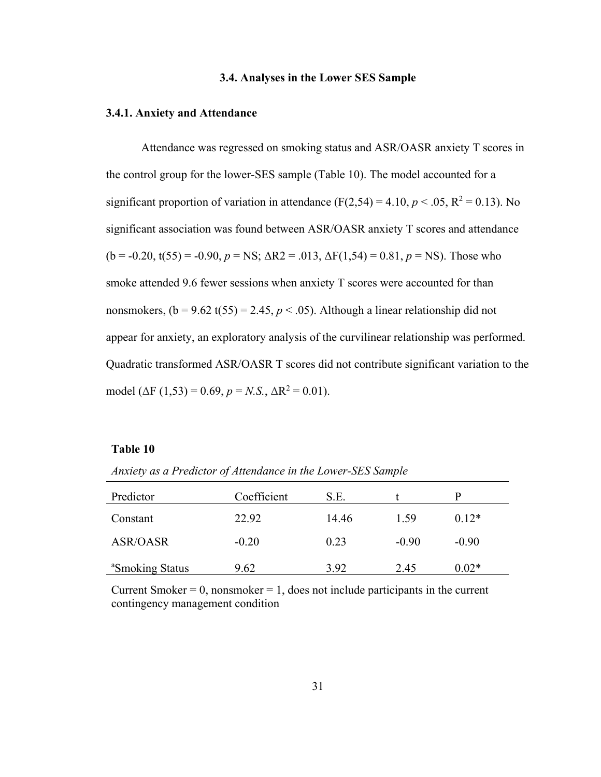#### **3.4. Analyses in the Lower SES Sample**

#### <span id="page-39-1"></span><span id="page-39-0"></span>**3.4.1. Anxiety and Attendance**

Attendance was regressed on smoking status and ASR/OASR anxiety T scores in the control group for the lower-SES sample (Table 10). The model accounted for a significant proportion of variation in attendance ( $F(2,54) = 4.10, p < .05, R^2 = 0.13$ ). No significant association was found between ASR/OASR anxiety T scores and attendance  $(b = -0.20, t(55) = -0.90, p = NS; \Delta R2 = .013, \Delta F(1,54) = 0.81, p = NS$ ). Those who smoke attended 9.6 fewer sessions when anxiety T scores were accounted for than nonsmokers,  $(b = 9.62 \text{ t}(55) = 2.45, p < .05)$ . Although a linear relationship did not appear for anxiety, an exploratory analysis of the curvilinear relationship was performed. Quadratic transformed ASR/OASR T scores did not contribute significant variation to the model ( $\Delta F$  (1,53) = 0.69,  $p = N.S., \Delta R^2 = 0.01$ ).

#### <span id="page-39-2"></span>**Table 10**

*Anxiety as a Predictor of Attendance in the Lower-SES Sample*

| Predictor                   | Coefficient | S.E.  |         | р       |
|-----------------------------|-------------|-------|---------|---------|
| Constant                    | 22.92       | 14.46 | 1.59    | $0.12*$ |
| <b>ASR/OASR</b>             | $-0.20$     | 0.23  | $-0.90$ | $-0.90$ |
| <sup>a</sup> Smoking Status | 9.62        | 3.92  | 2.45    | $0.02*$ |

Current Smoker  $= 0$ , nonsmoker  $= 1$ , does not include participants in the current contingency management condition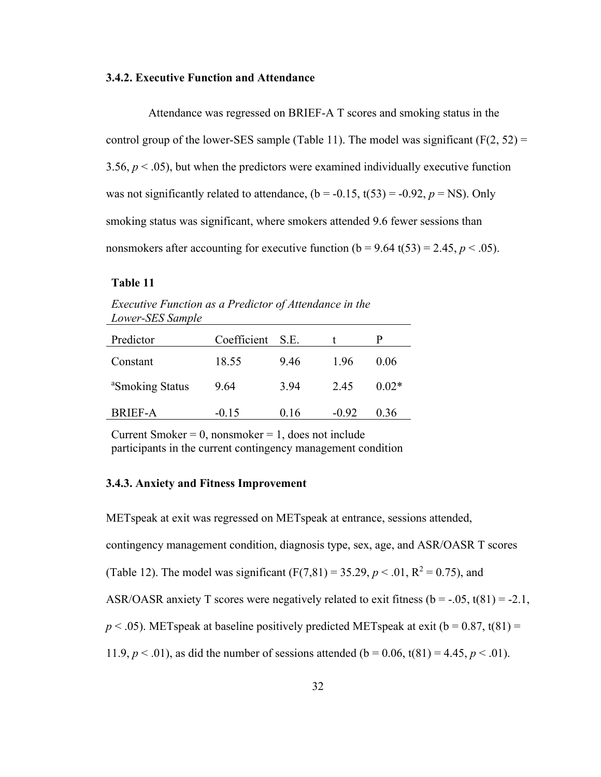#### <span id="page-40-0"></span>**3.4.2. Executive Function and Attendance**

Attendance was regressed on BRIEF-A T scores and smoking status in the control group of the lower-SES sample (Table 11). The model was significant ( $F(2, 52) =$ 3.56,  $p < 0.05$ ), but when the predictors were examined individually executive function was not significantly related to attendance,  $(b = -0.15, t(53) = -0.92, p = NS)$ . Only smoking status was significant, where smokers attended 9.6 fewer sessions than nonsmokers after accounting for executive function  $(b = 9.64 \text{ t}(53) = 2.45, p < .05)$ .

#### <span id="page-40-2"></span>**Table 11**

*Executive Function as a Predictor of Attendance in the Lower-SES Sample*

| Predictor                   | Coefficient S.E. |      |         | Ρ       |
|-----------------------------|------------------|------|---------|---------|
| Constant                    | 18.55            | 9.46 | 1.96    | 0.06    |
| <sup>a</sup> Smoking Status | 9.64             | 3.94 | 2.45    | $0.02*$ |
| BRIEF-A                     | $-0.15$          | 0.16 | $-0.92$ | 0.36    |

Current Smoker =  $0$ , nonsmoker =  $1$ , does not include participants in the current contingency management condition

#### <span id="page-40-1"></span>**3.4.3. Anxiety and Fitness Improvement**

METspeak at exit was regressed on METspeak at entrance, sessions attended, contingency management condition, diagnosis type, sex, age, and ASR/OASR T scores (Table 12). The model was significant  $(F(7,81) = 35.29, p < .01, R^2 = 0.75)$ , and ASR/OASR anxiety T scores were negatively related to exit fitness ( $b = -.05$ ,  $t(81) = -2.1$ ,  $p < .05$ ). METspeak at baseline positively predicted METspeak at exit ( $b = 0.87$ , t(81) = 11.9,  $p < .01$ ), as did the number of sessions attended (b = 0.06, t(81) = 4.45,  $p < .01$ ).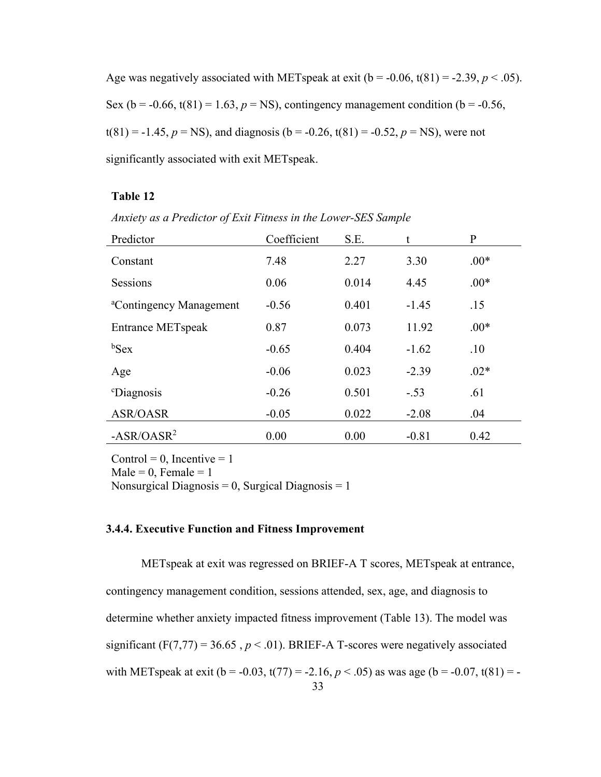Age was negatively associated with METspeak at exit  $(b = -0.06, t(81) = -2.39, p < .05)$ . Sex ( $b = -0.66$ ,  $t(81) = 1.63$ ,  $p = NS$ ), contingency management condition ( $b = -0.56$ ,  $t(81) = -1.45$ ,  $p = NS$ ), and diagnosis (b = -0.26, t(81) = -0.52,  $p = NS$ ), were not significantly associated with exit METspeak.

## <span id="page-41-0"></span>**Table 12**

| Predictor                           | Coefficient | S.E.  | t       | P      |
|-------------------------------------|-------------|-------|---------|--------|
| Constant                            | 7.48        | 2.27  | 3.30    | $.00*$ |
| Sessions                            | 0.06        | 0.014 | 4.45    | $.00*$ |
| <sup>a</sup> Contingency Management | $-0.56$     | 0.401 | $-1.45$ | .15    |
| <b>Entrance METspeak</b>            | 0.87        | 0.073 | 11.92   | $.00*$ |
| $b$ Sex                             | $-0.65$     | 0.404 | $-1.62$ | .10    |
| Age                                 | $-0.06$     | 0.023 | $-2.39$ | $.02*$ |
| <i><sup>c</sup>Diagnosis</i>        | $-0.26$     | 0.501 | $-.53$  | .61    |
| ASR/OASR                            | $-0.05$     | 0.022 | $-2.08$ | .04    |
| $-ASR/OASR2$                        | 0.00        | 0.00  | $-0.81$ | 0.42   |

*Anxiety as a Predictor of Exit Fitness in the Lower-SES Sample*

Control = 0, Incentive =  $1$ Male =  $0$ , Female =  $1$ 

Nonsurgical Diagnosis =  $0$ , Surgical Diagnosis = 1

## **3.4.4. Executive Function and Fitness Improvement**

33 METspeak at exit was regressed on BRIEF-A T scores, METspeak at entrance, contingency management condition, sessions attended, sex, age, and diagnosis to determine whether anxiety impacted fitness improvement (Table 13). The model was significant  $(F(7,77) = 36.65, p < .01)$ . BRIEF-A T-scores were negatively associated with METspeak at exit ( $b = -0.03$ ,  $t(77) = -2.16$ ,  $p < .05$ ) as was age ( $b = -0.07$ ,  $t(81) = -0.07$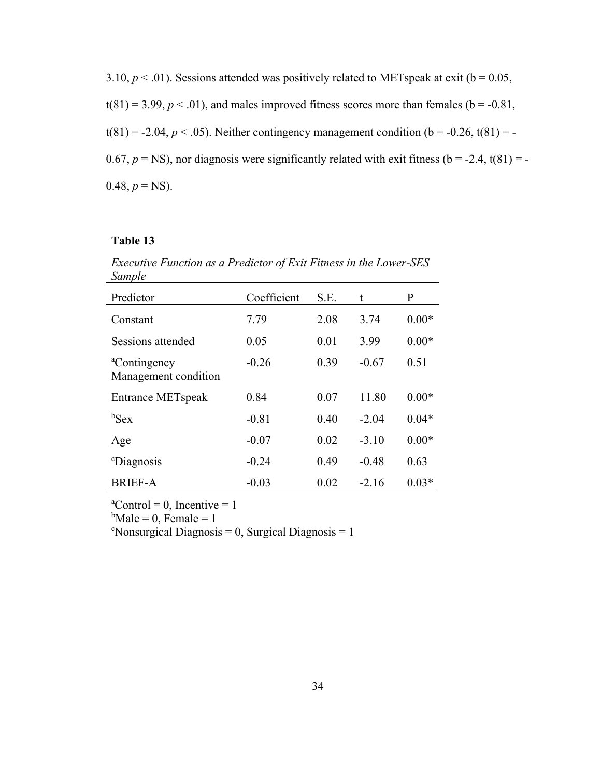3.10,  $p < .01$ ). Sessions attended was positively related to METspeak at exit ( $b = 0.05$ ,  $t(81) = 3.99, p < .01$ ), and males improved fitness scores more than females ( $b = -0.81$ ,  $t(81) = -2.04, p < .05$ ). Neither contingency management condition ( $b = -0.26, t(81) = -0.26$ ). 0.67,  $p = NS$ ), nor diagnosis were significantly related with exit fitness ( $b = -2.4$ , t(81) = - $0.48, p = NS$ ).

## <span id="page-42-0"></span>**Table 13**

*Executive Function as a Predictor of Exit Fitness in the Lower-SES Sample*

| Predictor                                        | Coefficient | S.E. | t       | P       |
|--------------------------------------------------|-------------|------|---------|---------|
| Constant                                         | 7.79        | 2.08 | 3.74    | $0.00*$ |
| Sessions attended                                | 0.05        | 0.01 | 3.99    | $0.00*$ |
| <sup>a</sup> Contingency<br>Management condition | $-0.26$     | 0.39 | $-0.67$ | 0.51    |
| <b>Entrance METspeak</b>                         | 0.84        | 0.07 | 11.80   | $0.00*$ |
| $b$ Sex                                          | $-0.81$     | 0.40 | $-2.04$ | $0.04*$ |
| Age                                              | $-0.07$     | 0.02 | $-3.10$ | $0.00*$ |
| <sup>c</sup> Diagnosis                           | $-0.24$     | 0.49 | $-0.48$ | 0.63    |
| <b>BRIEF-A</b>                                   | $-0.03$     | 0.02 | $-2.16$ | $0.03*$ |

 ${}^{\text{a}}$ Control = 0, Incentive = 1

 $b$ Male = 0, Female = 1

 $\text{``Nonsurgical Diagnosis = 0, Surgical Diagnosis = 1}$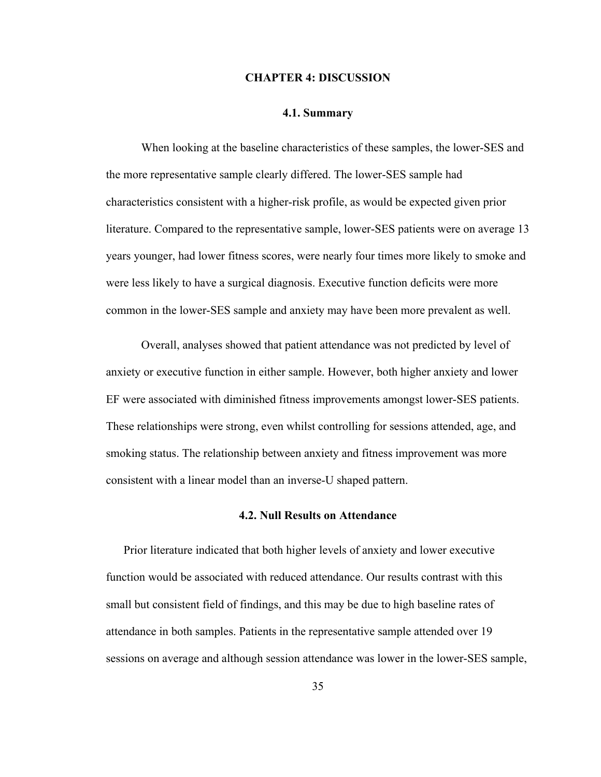#### **CHAPTER 4: DISCUSSION**

#### **4.1. Summary**

<span id="page-43-1"></span><span id="page-43-0"></span>When looking at the baseline characteristics of these samples, the lower-SES and the more representative sample clearly differed. The lower-SES sample had characteristics consistent with a higher-risk profile, as would be expected given prior literature. Compared to the representative sample, lower-SES patients were on average 13 years younger, had lower fitness scores, were nearly four times more likely to smoke and were less likely to have a surgical diagnosis. Executive function deficits were more common in the lower-SES sample and anxiety may have been more prevalent as well.

Overall, analyses showed that patient attendance was not predicted by level of anxiety or executive function in either sample. However, both higher anxiety and lower EF were associated with diminished fitness improvements amongst lower-SES patients. These relationships were strong, even whilst controlling for sessions attended, age, and smoking status. The relationship between anxiety and fitness improvement was more consistent with a linear model than an inverse-U shaped pattern.

#### **4.2. Null Results on Attendance**

<span id="page-43-2"></span>Prior literature indicated that both higher levels of anxiety and lower executive function would be associated with reduced attendance. Our results contrast with this small but consistent field of findings, and this may be due to high baseline rates of attendance in both samples. Patients in the representative sample attended over 19 sessions on average and although session attendance was lower in the lower-SES sample,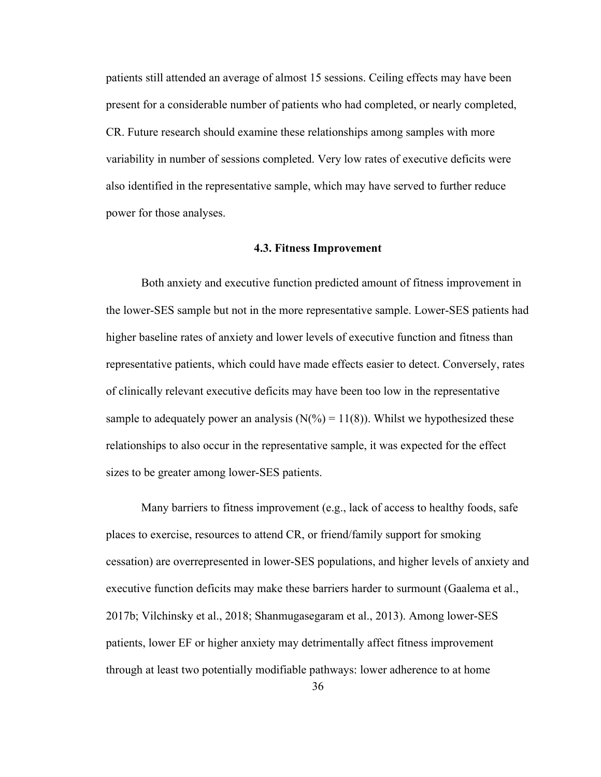patients still attended an average of almost 15 sessions. Ceiling effects may have been present for a considerable number of patients who had completed, or nearly completed, CR. Future research should examine these relationships among samples with more variability in number of sessions completed. Very low rates of executive deficits were also identified in the representative sample, which may have served to further reduce power for those analyses.

#### **4.3. Fitness Improvement**

<span id="page-44-0"></span>Both anxiety and executive function predicted amount of fitness improvement in the lower-SES sample but not in the more representative sample. Lower-SES patients had higher baseline rates of anxiety and lower levels of executive function and fitness than representative patients, which could have made effects easier to detect. Conversely, rates of clinically relevant executive deficits may have been too low in the representative sample to adequately power an analysis ( $N(\% ) = 11(8)$ ). Whilst we hypothesized these relationships to also occur in the representative sample, it was expected for the effect sizes to be greater among lower-SES patients.

Many barriers to fitness improvement (e.g., lack of access to healthy foods, safe places to exercise, resources to attend CR, or friend/family support for smoking cessation) are overrepresented in lower-SES populations, and higher levels of anxiety and executive function deficits may make these barriers harder to surmount (Gaalema et al., 2017b; Vilchinsky et al., 2018; Shanmugasegaram et al., 2013). Among lower-SES patients, lower EF or higher anxiety may detrimentally affect fitness improvement through at least two potentially modifiable pathways: lower adherence to at home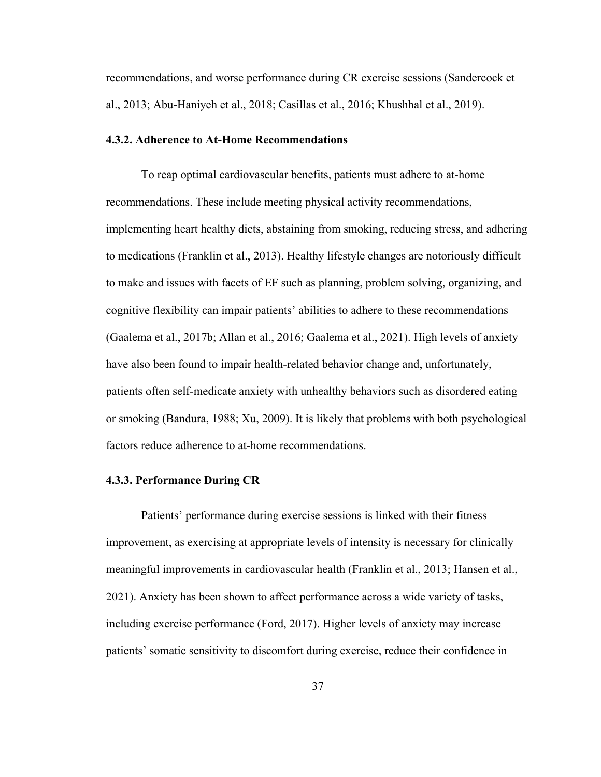recommendations, and worse performance during CR exercise sessions (Sandercock et al., 2013; Abu-Haniyeh et al., 2018; Casillas et al., 2016; Khushhal et al., 2019).

#### <span id="page-45-0"></span>**4.3.2. Adherence to At-Home Recommendations**

To reap optimal cardiovascular benefits, patients must adhere to at-home recommendations. These include meeting physical activity recommendations, implementing heart healthy diets, abstaining from smoking, reducing stress, and adhering to medications (Franklin et al., 2013). Healthy lifestyle changes are notoriously difficult to make and issues with facets of EF such as planning, problem solving, organizing, and cognitive flexibility can impair patients' abilities to adhere to these recommendations (Gaalema et al., 2017b; Allan et al., 2016; Gaalema et al., 2021). High levels of anxiety have also been found to impair health-related behavior change and, unfortunately, patients often self-medicate anxiety with unhealthy behaviors such as disordered eating or smoking (Bandura, 1988; Xu, 2009). It is likely that problems with both psychological factors reduce adherence to at-home recommendations.

#### <span id="page-45-1"></span>**4.3.3. Performance During CR**

Patients' performance during exercise sessions is linked with their fitness improvement, as exercising at appropriate levels of intensity is necessary for clinically meaningful improvements in cardiovascular health (Franklin et al., 2013; Hansen et al., 2021). Anxiety has been shown to affect performance across a wide variety of tasks, including exercise performance (Ford, 2017). Higher levels of anxiety may increase patients' somatic sensitivity to discomfort during exercise, reduce their confidence in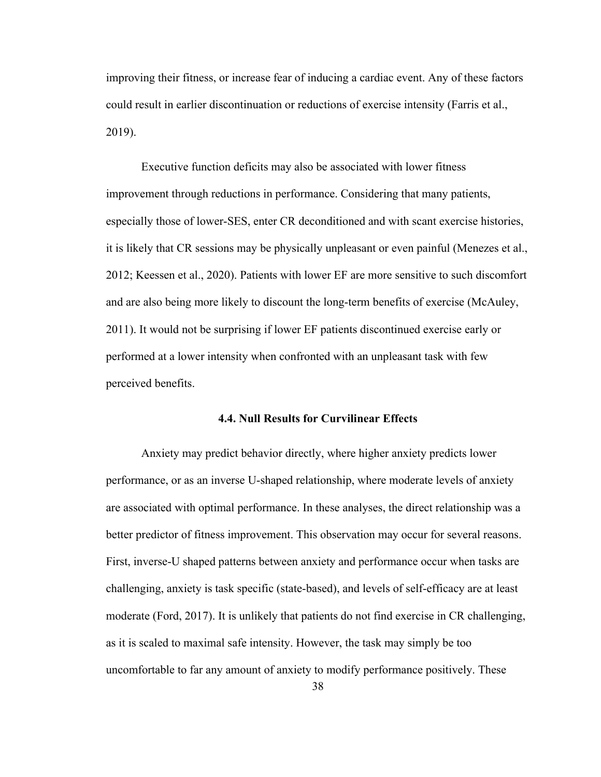improving their fitness, or increase fear of inducing a cardiac event. Any of these factors could result in earlier discontinuation or reductions of exercise intensity (Farris et al., 2019).

Executive function deficits may also be associated with lower fitness improvement through reductions in performance. Considering that many patients, especially those of lower-SES, enter CR deconditioned and with scant exercise histories, it is likely that CR sessions may be physically unpleasant or even painful (Menezes et al., 2012; Keessen et al., 2020). Patients with lower EF are more sensitive to such discomfort and are also being more likely to discount the long-term benefits of exercise (McAuley, 2011). It would not be surprising if lower EF patients discontinued exercise early or performed at a lower intensity when confronted with an unpleasant task with few perceived benefits.

#### **4.4. Null Results for Curvilinear Effects**

<span id="page-46-0"></span>Anxiety may predict behavior directly, where higher anxiety predicts lower performance, or as an inverse U-shaped relationship, where moderate levels of anxiety are associated with optimal performance. In these analyses, the direct relationship was a better predictor of fitness improvement. This observation may occur for several reasons. First, inverse-U shaped patterns between anxiety and performance occur when tasks are challenging, anxiety is task specific (state-based), and levels of self-efficacy are at least moderate (Ford, 2017). It is unlikely that patients do not find exercise in CR challenging, as it is scaled to maximal safe intensity. However, the task may simply be too uncomfortable to far any amount of anxiety to modify performance positively. These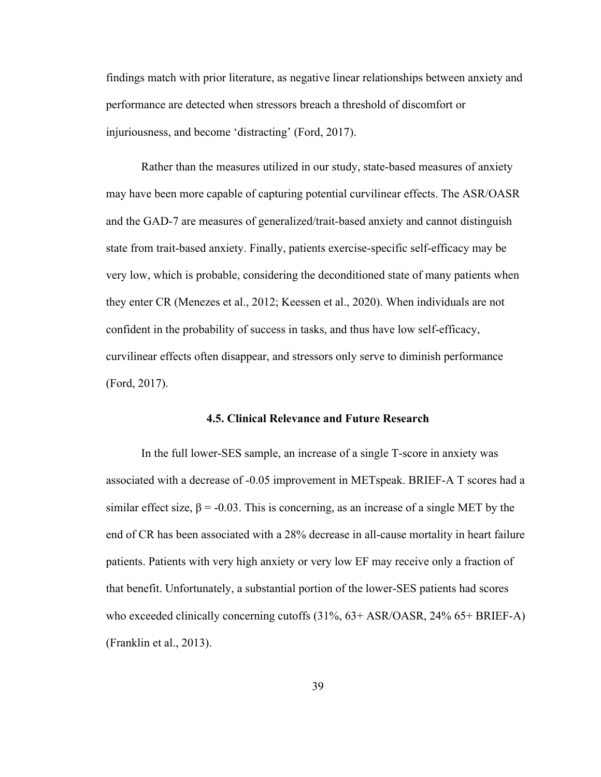findings match with prior literature, as negative linear relationships between anxiety and performance are detected when stressors breach a threshold of discomfort or injuriousness, and become 'distracting' (Ford, 2017).

Rather than the measures utilized in our study, state-based measures of anxiety may have been more capable of capturing potential curvilinear effects. The ASR/OASR and the GAD-7 are measures of generalized/trait-based anxiety and cannot distinguish state from trait-based anxiety. Finally, patients exercise-specific self-efficacy may be very low, which is probable, considering the deconditioned state of many patients when they enter CR (Menezes et al., 2012; Keessen et al., 2020). When individuals are not confident in the probability of success in tasks, and thus have low self-efficacy, curvilinear effects often disappear, and stressors only serve to diminish performance (Ford, 2017).

#### **4.5. Clinical Relevance and Future Research**

<span id="page-47-0"></span>In the full lower-SES sample, an increase of a single T-score in anxiety was associated with a decrease of -0.05 improvement in METspeak. BRIEF-A T scores had a similar effect size,  $\beta$  = -0.03. This is concerning, as an increase of a single MET by the end of CR has been associated with a 28% decrease in all-cause mortality in heart failure patients. Patients with very high anxiety or very low EF may receive only a fraction of that benefit. Unfortunately, a substantial portion of the lower-SES patients had scores who exceeded clinically concerning cutoffs (31%, 63+ ASR/OASR, 24% 65+ BRIEF-A) (Franklin et al., 2013).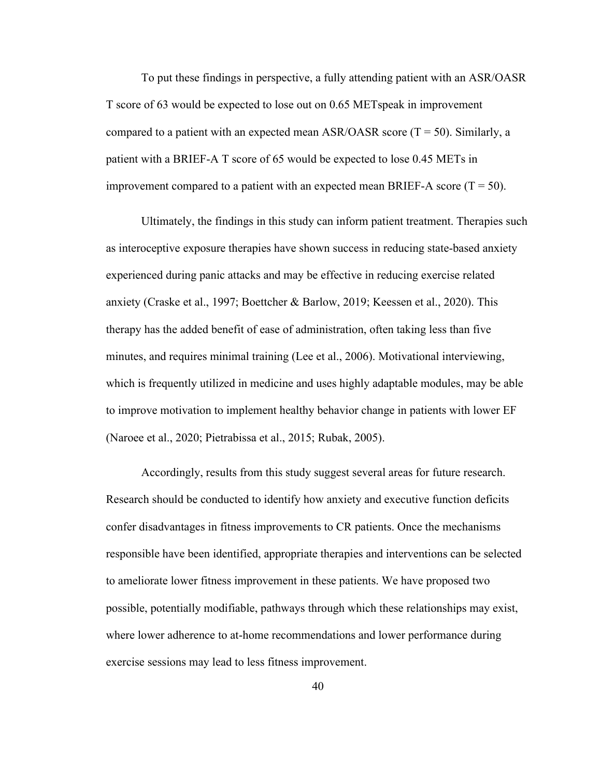To put these findings in perspective, a fully attending patient with an ASR/OASR T score of 63 would be expected to lose out on 0.65 METspeak in improvement compared to a patient with an expected mean ASR/OASR score  $(T = 50)$ . Similarly, a patient with a BRIEF-A T score of 65 would be expected to lose 0.45 METs in improvement compared to a patient with an expected mean BRIEF-A score  $(T = 50)$ .

Ultimately, the findings in this study can inform patient treatment. Therapies such as interoceptive exposure therapies have shown success in reducing state-based anxiety experienced during panic attacks and may be effective in reducing exercise related anxiety (Craske et al., 1997; Boettcher & Barlow, 2019; Keessen et al., 2020). This therapy has the added benefit of ease of administration, often taking less than five minutes, and requires minimal training (Lee et al., 2006). Motivational interviewing, which is frequently utilized in medicine and uses highly adaptable modules, may be able to improve motivation to implement healthy behavior change in patients with lower EF (Naroee et al., 2020; Pietrabissa et al., 2015; Rubak, 2005).

Accordingly, results from this study suggest several areas for future research. Research should be conducted to identify how anxiety and executive function deficits confer disadvantages in fitness improvements to CR patients. Once the mechanisms responsible have been identified, appropriate therapies and interventions can be selected to ameliorate lower fitness improvement in these patients. We have proposed two possible, potentially modifiable, pathways through which these relationships may exist, where lower adherence to at-home recommendations and lower performance during exercise sessions may lead to less fitness improvement.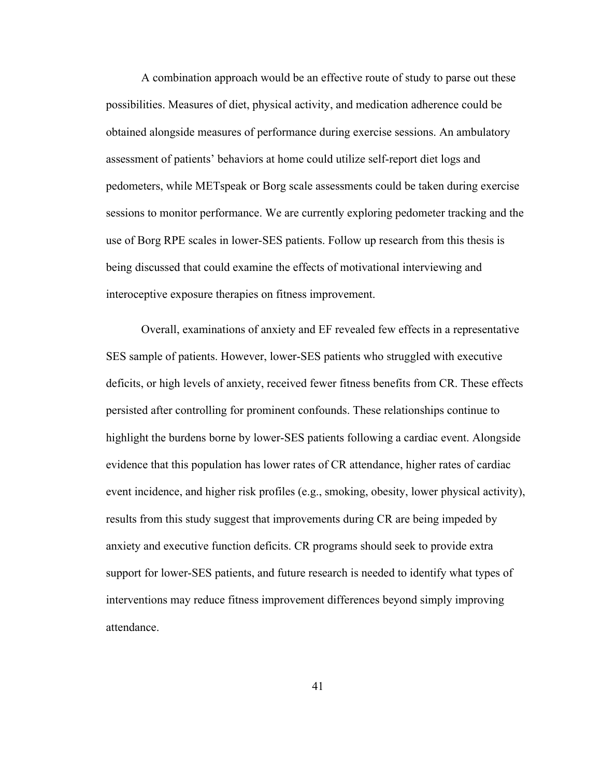A combination approach would be an effective route of study to parse out these possibilities. Measures of diet, physical activity, and medication adherence could be obtained alongside measures of performance during exercise sessions. An ambulatory assessment of patients' behaviors at home could utilize self-report diet logs and pedometers, while METspeak or Borg scale assessments could be taken during exercise sessions to monitor performance. We are currently exploring pedometer tracking and the use of Borg RPE scales in lower-SES patients. Follow up research from this thesis is being discussed that could examine the effects of motivational interviewing and interoceptive exposure therapies on fitness improvement.

Overall, examinations of anxiety and EF revealed few effects in a representative SES sample of patients. However, lower-SES patients who struggled with executive deficits, or high levels of anxiety, received fewer fitness benefits from CR. These effects persisted after controlling for prominent confounds. These relationships continue to highlight the burdens borne by lower-SES patients following a cardiac event. Alongside evidence that this population has lower rates of CR attendance, higher rates of cardiac event incidence, and higher risk profiles (e.g., smoking, obesity, lower physical activity), results from this study suggest that improvements during CR are being impeded by anxiety and executive function deficits. CR programs should seek to provide extra support for lower-SES patients, and future research is needed to identify what types of interventions may reduce fitness improvement differences beyond simply improving attendance.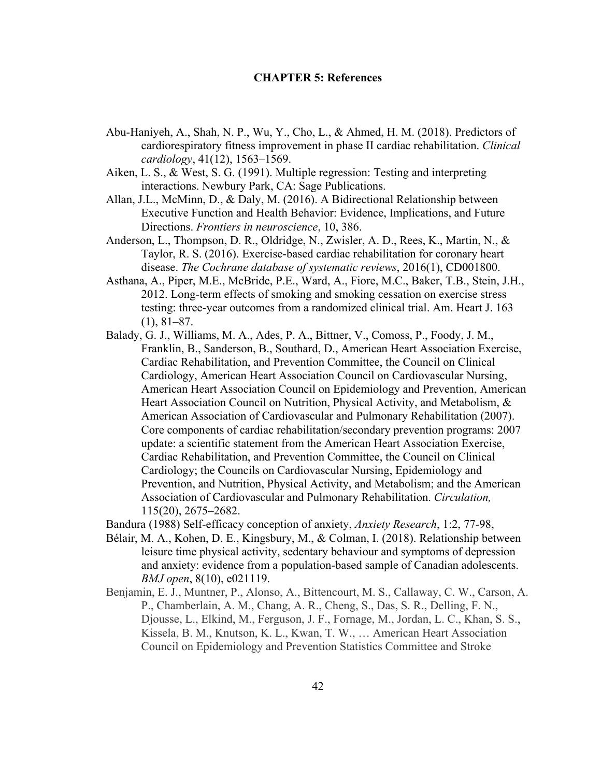#### **CHAPTER 5: References**

- <span id="page-50-0"></span>Abu-Haniyeh, A., Shah, N. P., Wu, Y., Cho, L., & Ahmed, H. M. (2018). Predictors of cardiorespiratory fitness improvement in phase II cardiac rehabilitation. *Clinical cardiology*, 41(12), 1563–1569.
- Aiken, L. S., & West, S. G. (1991). Multiple regression: Testing and interpreting interactions. Newbury Park, CA: Sage Publications.
- Allan, J.L., McMinn, D., & Daly, M. (2016). A Bidirectional Relationship between Executive Function and Health Behavior: Evidence, Implications, and Future Directions. *Frontiers in neuroscience*, 10, 386.
- Anderson, L., Thompson, D. R., Oldridge, N., Zwisler, A. D., Rees, K., Martin, N., & Taylor, R. S. (2016). Exercise-based cardiac rehabilitation for coronary heart disease. *The Cochrane database of systematic reviews*, 2016(1), CD001800.
- Asthana, A., Piper, M.E., McBride, P.E., Ward, A., Fiore, M.C., Baker, T.B., Stein, J.H., 2012. Long-term effects of smoking and smoking cessation on exercise stress testing: three-year outcomes from a randomized clinical trial. Am. Heart J. 163 (1), 81–87.
- Balady, G. J., Williams, M. A., Ades, P. A., Bittner, V., Comoss, P., Foody, J. M., Franklin, B., Sanderson, B., Southard, D., American Heart Association Exercise, Cardiac Rehabilitation, and Prevention Committee, the Council on Clinical Cardiology, American Heart Association Council on Cardiovascular Nursing, American Heart Association Council on Epidemiology and Prevention, American Heart Association Council on Nutrition, Physical Activity, and Metabolism, & American Association of Cardiovascular and Pulmonary Rehabilitation (2007). Core components of cardiac rehabilitation/secondary prevention programs: 2007 update: a scientific statement from the American Heart Association Exercise, Cardiac Rehabilitation, and Prevention Committee, the Council on Clinical Cardiology; the Councils on Cardiovascular Nursing, Epidemiology and Prevention, and Nutrition, Physical Activity, and Metabolism; and the American Association of Cardiovascular and Pulmonary Rehabilitation. *Circulation,* 115(20), 2675–2682.
- Bandura (1988) Self-efficacy conception of anxiety, *Anxiety Research*, 1:2, 77-98,
- Bélair, M. A., Kohen, D. E., Kingsbury, M., & Colman, I. (2018). Relationship between leisure time physical activity, sedentary behaviour and symptoms of depression and anxiety: evidence from a population-based sample of Canadian adolescents. *BMJ open*, 8(10), e021119.
- Benjamin, E. J., Muntner, P., Alonso, A., Bittencourt, M. S., Callaway, C. W., Carson, A. P., Chamberlain, A. M., Chang, A. R., Cheng, S., Das, S. R., Delling, F. N., Djousse, L., Elkind, M., Ferguson, J. F., Fornage, M., Jordan, L. C., Khan, S. S., Kissela, B. M., Knutson, K. L., Kwan, T. W., … American Heart Association Council on Epidemiology and Prevention Statistics Committee and Stroke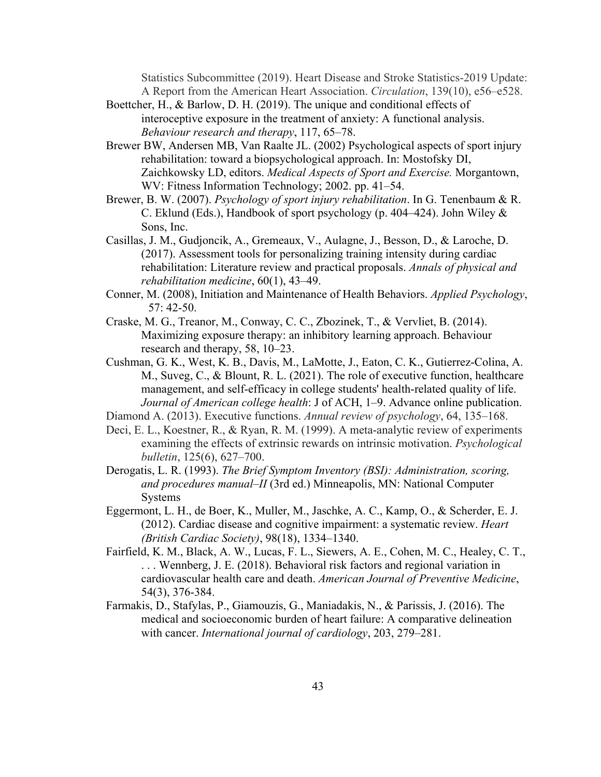Statistics Subcommittee (2019). Heart Disease and Stroke Statistics-2019 Update: A Report from the American Heart Association. *Circulation*, 139(10), e56–e528.

- Boettcher, H., & Barlow, D. H. (2019). The unique and conditional effects of interoceptive exposure in the treatment of anxiety: A functional analysis. *Behaviour research and therapy*, 117, 65–78.
- Brewer BW, Andersen MB, Van Raalte JL. (2002) Psychological aspects of sport injury rehabilitation: toward a biopsychological approach. In: Mostofsky DI, Zaichkowsky LD, editors. *Medical Aspects of Sport and Exercise.* Morgantown, WV: Fitness Information Technology; 2002. pp. 41–54.
- Brewer, B. W. (2007). *Psychology of sport injury rehabilitation*. In G. Tenenbaum & R. C. Eklund (Eds.), Handbook of sport psychology (p. 404–424). John Wiley & Sons, Inc.
- Casillas, J. M., Gudjoncik, A., Gremeaux, V., Aulagne, J., Besson, D., & Laroche, D. (2017). Assessment tools for personalizing training intensity during cardiac rehabilitation: Literature review and practical proposals. *Annals of physical and rehabilitation medicine*, 60(1), 43–49.
- Conner, M. (2008), Initiation and Maintenance of Health Behaviors. *Applied Psychology*, 57: 42-50.
- Craske, M. G., Treanor, M., Conway, C. C., Zbozinek, T., & Vervliet, B. (2014). Maximizing exposure therapy: an inhibitory learning approach. Behaviour research and therapy, 58, 10–23.
- Cushman, G. K., West, K. B., Davis, M., LaMotte, J., Eaton, C. K., Gutierrez-Colina, A. M., Suveg, C., & Blount, R. L. (2021). The role of executive function, healthcare management, and self-efficacy in college students' health-related quality of life. *Journal of American college health*: J of ACH, 1–9. Advance online publication.
- Diamond A. (2013). Executive functions. *Annual review of psychology*, 64, 135–168.
- Deci, E. L., Koestner, R., & Ryan, R. M. (1999). A meta-analytic review of experiments examining the effects of extrinsic rewards on intrinsic motivation. *Psychological bulletin*, 125(6), 627–700.
- Derogatis, L. R. (1993). *The Brief Symptom Inventory (BSI): Administration, scoring, and procedures manual–II* (3rd ed.) Minneapolis, MN: National Computer **Systems**
- Eggermont, L. H., de Boer, K., Muller, M., Jaschke, A. C., Kamp, O., & Scherder, E. J. (2012). Cardiac disease and cognitive impairment: a systematic review. *Heart (British Cardiac Society)*, 98(18), 1334–1340.
- Fairfield, K. M., Black, A. W., Lucas, F. L., Siewers, A. E., Cohen, M. C., Healey, C. T., . . . Wennberg, J. E. (2018). Behavioral risk factors and regional variation in cardiovascular health care and death. *American Journal of Preventive Medicine*, 54(3), 376-384.
- Farmakis, D., Stafylas, P., Giamouzis, G., Maniadakis, N., & Parissis, J. (2016). The medical and socioeconomic burden of heart failure: A comparative delineation with cancer. *International journal of cardiology*, 203, 279–281.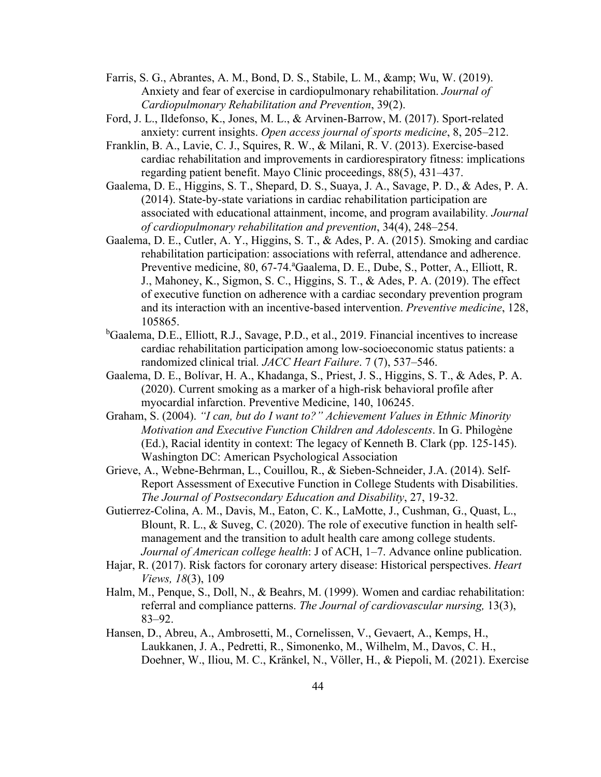- Farris, S. G., Abrantes, A. M., Bond, D. S., Stabile, L. M., & amp; Wu, W. (2019). Anxiety and fear of exercise in cardiopulmonary rehabilitation. *Journal of Cardiopulmonary Rehabilitation and Prevention*, 39(2).
- Ford, J. L., Ildefonso, K., Jones, M. L., & Arvinen-Barrow, M. (2017). Sport-related anxiety: current insights. *Open access journal of sports medicine*, 8, 205–212.
- Franklin, B. A., Lavie, C. J., Squires, R. W., & Milani, R. V. (2013). Exercise-based cardiac rehabilitation and improvements in cardiorespiratory fitness: implications regarding patient benefit. Mayo Clinic proceedings, 88(5), 431–437.
- Gaalema, D. E., Higgins, S. T., Shepard, D. S., Suaya, J. A., Savage, P. D., & Ades, P. A. (2014). State-by-state variations in cardiac rehabilitation participation are associated with educational attainment, income, and program availability*. Journal of cardiopulmonary rehabilitation and prevention*, 34(4), 248–254.
- Gaalema, D. E., Cutler, A. Y., Higgins, S. T., & Ades, P. A. (2015). Smoking and cardiac rehabilitation participation: associations with referral, attendance and adherence. Preventive medicine, 80, 67-74. ª Gaalema, D. E., Dube, S., Potter, A., Elliott, R. J., Mahoney, K., Sigmon, S. C., Higgins, S. T., & Ades, P. A. (2019). The effect of executive function on adherence with a cardiac secondary prevention program and its interaction with an incentive-based intervention. *Preventive medicine*, 128, 105865.
- <sup>b</sup>Gaalema, D.E., Elliott, R.J., Savage, P.D., et al., 2019. Financial incentives to increase cardiac rehabilitation participation among low-socioeconomic status patients: a randomized clinical trial*. JACC Heart Failure*. 7 (7), 537–546.
- Gaalema, D. E., Bolívar, H. A., Khadanga, S., Priest, J. S., Higgins, S. T., & Ades, P. A. (2020). Current smoking as a marker of a high-risk behavioral profile after myocardial infarction. Preventive Medicine, 140, 106245.
- Graham, S. (2004). *"I can, but do I want to?" Achievement Values in Ethnic Minority Motivation and Executive Function Children and Adolescents*. In G. Philogène (Ed.), Racial identity in context: The legacy of Kenneth B. Clark (pp. 125-145). Washington DC: American Psychological Association
- Grieve, A., Webne-Behrman, L., Couillou, R., & Sieben-Schneider, J.A. (2014). Self-Report Assessment of Executive Function in College Students with Disabilities. *The Journal of Postsecondary Education and Disability*, 27, 19-32.
- Gutierrez-Colina, A. M., Davis, M., Eaton, C. K., LaMotte, J., Cushman, G., Quast, L., Blount, R. L., & Suveg, C. (2020). The role of executive function in health selfmanagement and the transition to adult health care among college students. *Journal of American college health*: J of ACH, 1–7. Advance online publication.
- Hajar, R. (2017). Risk factors for coronary artery disease: Historical perspectives. *Heart Views, 18*(3), 109
- Halm, M., Penque, S., Doll, N., & Beahrs, M. (1999). Women and cardiac rehabilitation: referral and compliance patterns. *The Journal of cardiovascular nursing,* 13(3), 83–92.
- Hansen, D., Abreu, A., Ambrosetti, M., Cornelissen, V., Gevaert, A., Kemps, H., Laukkanen, J. A., Pedretti, R., Simonenko, M., Wilhelm, M., Davos, C. H., Doehner, W., Iliou, M. C., Kränkel, N., Völler, H., & Piepoli, M. (2021). Exercise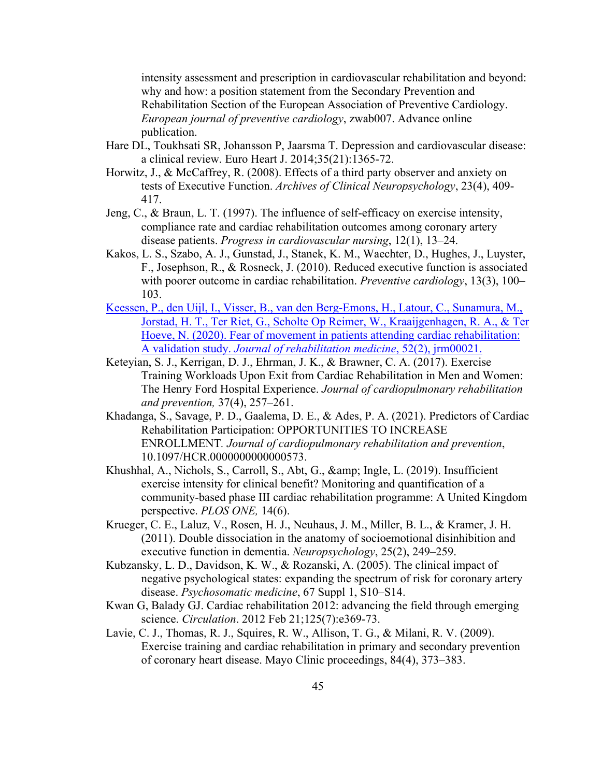intensity assessment and prescription in cardiovascular rehabilitation and beyond: why and how: a position statement from the Secondary Prevention and Rehabilitation Section of the European Association of Preventive Cardiology. *European journal of preventive cardiology*, zwab007. Advance online publication.

- Hare DL, Toukhsati SR, Johansson P, Jaarsma T. Depression and cardiovascular disease: a clinical review. Euro Heart J. 2014;35(21):1365-72.
- Horwitz, J., & McCaffrey, R. (2008). Effects of a third party observer and anxiety on tests of Executive Function. *Archives of Clinical Neuropsychology*, 23(4), 409- 417.
- Jeng, C., & Braun, L. T. (1997). The influence of self-efficacy on exercise intensity, compliance rate and cardiac rehabilitation outcomes among coronary artery disease patients. *Progress in cardiovascular nursing*, 12(1), 13–24.
- Kakos, L. S., Szabo, A. J., Gunstad, J., Stanek, K. M., Waechter, D., Hughes, J., Luyster, F., Josephson, R., & Rosneck, J. (2010). Reduced executive function is associated with poorer outcome in cardiac rehabilitation. *Preventive cardiology*, 13(3), 100– 103.
- Keessen, P., den Uijl, I., Visser, B., van den Berg-Emons, H., Latour, C., Sunamura, M., Jorstad, H. T., Ter Riet, G., Scholte Op Reimer, W., Kraaijgenhagen, R. A., & Ter Hoeve, N. (2020). Fear of movement in patients attending cardiac rehabilitation: A validation study. *Journal of rehabilitation medicine*, 52(2), jrm00021.
- Keteyian, S. J., Kerrigan, D. J., Ehrman, J. K., & Brawner, C. A. (2017). Exercise Training Workloads Upon Exit from Cardiac Rehabilitation in Men and Women: The Henry Ford Hospital Experience. *Journal of cardiopulmonary rehabilitation and prevention,* 37(4), 257–261.
- Khadanga, S., Savage, P. D., Gaalema, D. E., & Ades, P. A. (2021). Predictors of Cardiac Rehabilitation Participation: OPPORTUNITIES TO INCREASE ENROLLMENT*. Journal of cardiopulmonary rehabilitation and prevention*, 10.1097/HCR.0000000000000573.
- Khushhal, A., Nichols, S., Carroll, S., Abt, G., & Ingle, L. (2019). Insufficient exercise intensity for clinical benefit? Monitoring and quantification of a community-based phase III cardiac rehabilitation programme: A United Kingdom perspective. *PLOS ONE,* 14(6).
- Krueger, C. E., Laluz, V., Rosen, H. J., Neuhaus, J. M., Miller, B. L., & Kramer, J. H. (2011). Double dissociation in the anatomy of socioemotional disinhibition and executive function in dementia. *Neuropsychology*, 25(2), 249–259.
- Kubzansky, L. D., Davidson, K. W., & Rozanski, A. (2005). The clinical impact of negative psychological states: expanding the spectrum of risk for coronary artery disease. *Psychosomatic medicine*, 67 Suppl 1, S10–S14.
- Kwan G, Balady GJ. Cardiac rehabilitation 2012: advancing the field through emerging science. *Circulation*. 2012 Feb 21;125(7):e369-73.
- Lavie, C. J., Thomas, R. J., Squires, R. W., Allison, T. G., & Milani, R. V. (2009). Exercise training and cardiac rehabilitation in primary and secondary prevention of coronary heart disease. Mayo Clinic proceedings, 84(4), 373–383.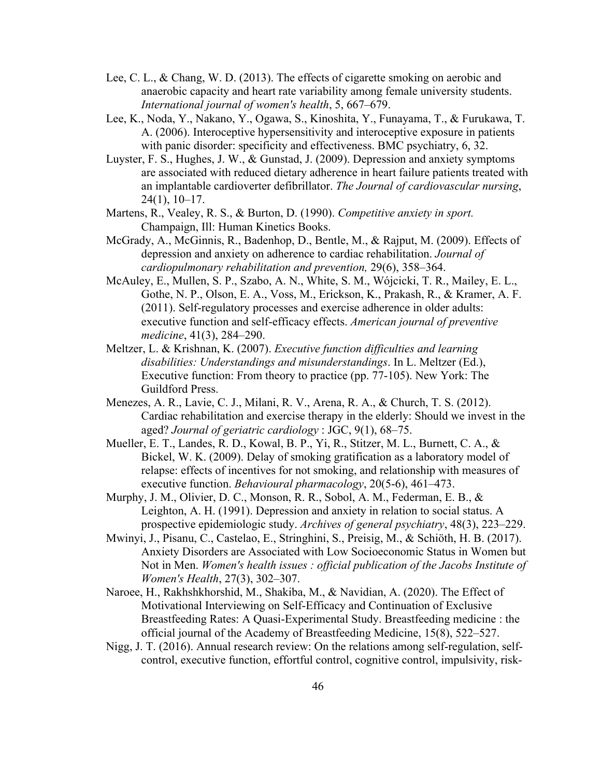- Lee, C. L., & Chang, W. D. (2013). The effects of cigarette smoking on aerobic and anaerobic capacity and heart rate variability among female university students. *International journal of women's health*, 5, 667–679.
- Lee, K., Noda, Y., Nakano, Y., Ogawa, S., Kinoshita, Y., Funayama, T., & Furukawa, T. A. (2006). Interoceptive hypersensitivity and interoceptive exposure in patients with panic disorder: specificity and effectiveness. BMC psychiatry, 6, 32.
- Luyster, F. S., Hughes, J. W., & Gunstad, J. (2009). Depression and anxiety symptoms are associated with reduced dietary adherence in heart failure patients treated with an implantable cardioverter defibrillator. *The Journal of cardiovascular nursing*, 24(1), 10–17.
- Martens, R., Vealey, R. S., & Burton, D. (1990). *Competitive anxiety in sport.* Champaign, Ill: Human Kinetics Books.
- McGrady, A., McGinnis, R., Badenhop, D., Bentle, M., & Rajput, M. (2009). Effects of depression and anxiety on adherence to cardiac rehabilitation. *Journal of cardiopulmonary rehabilitation and prevention,* 29(6), 358–364.
- McAuley, E., Mullen, S. P., Szabo, A. N., White, S. M., Wójcicki, T. R., Mailey, E. L., Gothe, N. P., Olson, E. A., Voss, M., Erickson, K., Prakash, R., & Kramer, A. F. (2011). Self-regulatory processes and exercise adherence in older adults: executive function and self-efficacy effects. *American journal of preventive medicine*, 41(3), 284–290.
- Meltzer, L. & Krishnan, K. (2007). *Executive function difficulties and learning disabilities: Understandings and misunderstandings*. In L. Meltzer (Ed.), Executive function: From theory to practice (pp. 77-105). New York: The Guildford Press.
- Menezes, A. R., Lavie, C. J., Milani, R. V., Arena, R. A., & Church, T. S. (2012). Cardiac rehabilitation and exercise therapy in the elderly: Should we invest in the aged? *Journal of geriatric cardiology* : JGC, 9(1), 68–75.
- Mueller, E. T., Landes, R. D., Kowal, B. P., Yi, R., Stitzer, M. L., Burnett, C. A., & Bickel, W. K. (2009). Delay of smoking gratification as a laboratory model of relapse: effects of incentives for not smoking, and relationship with measures of executive function. *Behavioural pharmacology*, 20(5-6), 461–473.
- Murphy, J. M., Olivier, D. C., Monson, R. R., Sobol, A. M., Federman, E. B., & Leighton, A. H. (1991). Depression and anxiety in relation to social status. A prospective epidemiologic study. *Archives of general psychiatry*, 48(3), 223–229.
- Mwinyi, J., Pisanu, C., Castelao, E., Stringhini, S., Preisig, M., & Schiöth, H. B. (2017). Anxiety Disorders are Associated with Low Socioeconomic Status in Women but Not in Men. *Women's health issues : official publication of the Jacobs Institute of Women's Health*, 27(3), 302–307.
- Naroee, H., Rakhshkhorshid, M., Shakiba, M., & Navidian, A. (2020). The Effect of Motivational Interviewing on Self-Efficacy and Continuation of Exclusive Breastfeeding Rates: A Quasi-Experimental Study. Breastfeeding medicine : the official journal of the Academy of Breastfeeding Medicine, 15(8), 522–527.
- Nigg, J. T. (2016). Annual research review: On the relations among self-regulation, selfcontrol, executive function, effortful control, cognitive control, impulsivity, risk-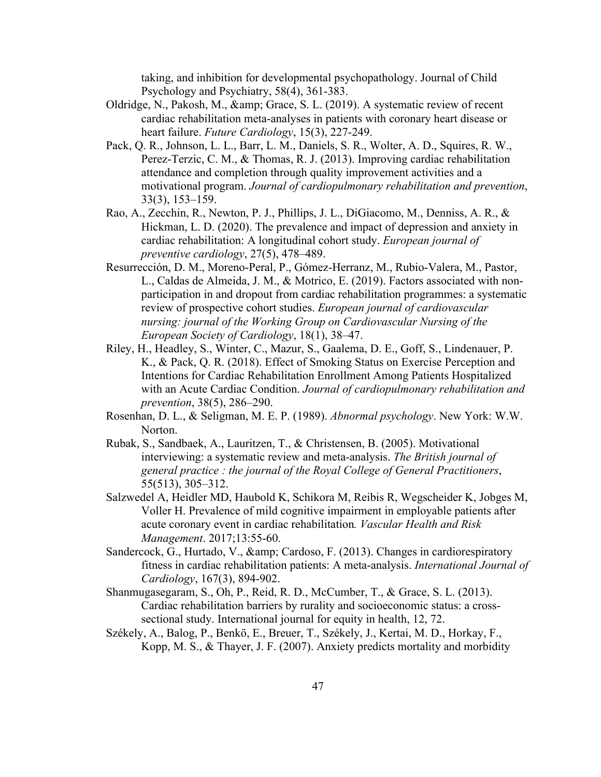taking, and inhibition for developmental psychopathology. Journal of Child Psychology and Psychiatry, 58(4), 361-383.

- Oldridge, N., Pakosh, M., & amp; Grace, S. L. (2019). A systematic review of recent cardiac rehabilitation meta-analyses in patients with coronary heart disease or heart failure. *Future Cardiology*, 15(3), 227-249.
- Pack, Q. R., Johnson, L. L., Barr, L. M., Daniels, S. R., Wolter, A. D., Squires, R. W., Perez-Terzic, C. M., & Thomas, R. J. (2013). Improving cardiac rehabilitation attendance and completion through quality improvement activities and a motivational program. *Journal of cardiopulmonary rehabilitation and prevention*, 33(3), 153–159.
- Rao, A., Zecchin, R., Newton, P. J., Phillips, J. L., DiGiacomo, M., Denniss, A. R., & Hickman, L. D. (2020). The prevalence and impact of depression and anxiety in cardiac rehabilitation: A longitudinal cohort study. *European journal of preventive cardiology*, 27(5), 478–489.
- Resurrección, D. M., Moreno-Peral, P., Gómez-Herranz, M., Rubio-Valera, M., Pastor, L., Caldas de Almeida, J. M., & Motrico, E. (2019). Factors associated with nonparticipation in and dropout from cardiac rehabilitation programmes: a systematic review of prospective cohort studies. *European journal of cardiovascular nursing: journal of the Working Group on Cardiovascular Nursing of the European Society of Cardiology*, 18(1), 38–47.
- Riley, H., Headley, S., Winter, C., Mazur, S., Gaalema, D. E., Goff, S., Lindenauer, P. K., & Pack, Q. R. (2018). Effect of Smoking Status on Exercise Perception and Intentions for Cardiac Rehabilitation Enrollment Among Patients Hospitalized with an Acute Cardiac Condition. *Journal of cardiopulmonary rehabilitation and prevention*, 38(5), 286–290.
- Rosenhan, D. L., & Seligman, M. E. P. (1989). *Abnormal psychology*. New York: W.W. Norton.
- Rubak, S., Sandbaek, A., Lauritzen, T., & Christensen, B. (2005). Motivational interviewing: a systematic review and meta-analysis. *The British journal of general practice : the journal of the Royal College of General Practitioners*, 55(513), 305–312.
- Salzwedel A, Heidler MD, Haubold K, Schikora M, Reibis R, Wegscheider K, Jobges M, Voller H. Prevalence of mild cognitive impairment in employable patients after acute coronary event in cardiac rehabilitation*. Vascular Health and Risk Management*. 2017;13:55-60.
- Sandercock, G., Hurtado, V., & amp; Cardoso, F. (2013). Changes in cardiorespiratory fitness in cardiac rehabilitation patients: A meta-analysis. *International Journal of Cardiology*, 167(3), 894-902.
- Shanmugasegaram, S., Oh, P., Reid, R. D., McCumber, T., & Grace, S. L. (2013). Cardiac rehabilitation barriers by rurality and socioeconomic status: a crosssectional study. International journal for equity in health, 12, 72.
- Székely, A., Balog, P., Benkö, E., Breuer, T., Székely, J., Kertai, M. D., Horkay, F., Kopp, M. S., & Thayer, J. F. (2007). Anxiety predicts mortality and morbidity